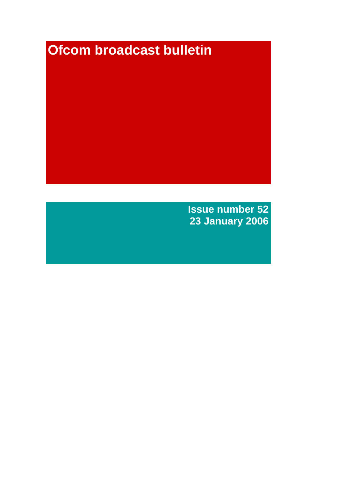# **Ofcom broadcast bulletin**

**Issue number 52 23 January 2006**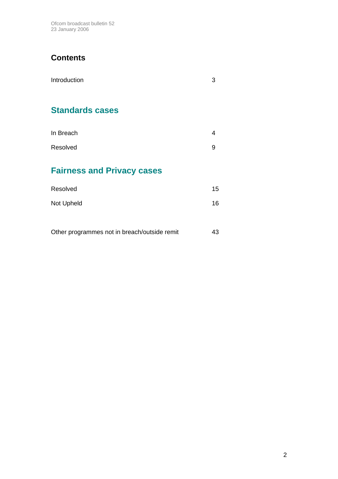Ofcom broadcast bulletin 52 23 January 2006

# **Contents**

| Introduction                                 | 3  |
|----------------------------------------------|----|
| <b>Standards cases</b>                       |    |
| In Breach                                    | 4  |
| Resolved                                     | 9  |
| <b>Fairness and Privacy cases</b>            |    |
| Resolved                                     | 15 |
| Not Upheld                                   | 16 |
|                                              |    |
| Other programmes not in breach/outside remit | 43 |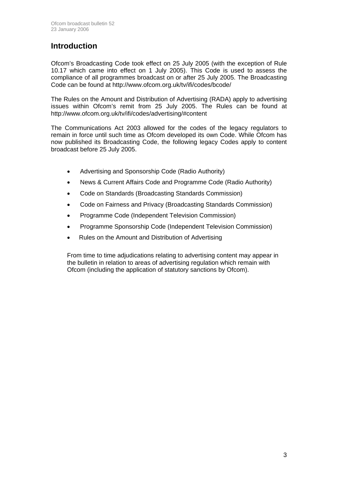### **Introduction**

Ofcom's Broadcasting Code took effect on 25 July 2005 (with the exception of Rule 10.17 which came into effect on 1 July 2005). This Code is used to assess the compliance of all programmes broadcast on or after 25 July 2005. The Broadcasting Code can be found at http://www.ofcom.org.uk/tv/ifi/codes/bcode/

The Rules on the Amount and Distribution of Advertising (RADA) apply to advertising issues within Ofcom's remit from 25 July 2005. The Rules can be found at http://www.ofcom.org.uk/tv/ifi/codes/advertising/#content

The Communications Act 2003 allowed for the codes of the legacy regulators to remain in force until such time as Ofcom developed its own Code. While Ofcom has now published its Broadcasting Code, the following legacy Codes apply to content broadcast before 25 July 2005.

- Advertising and Sponsorship Code (Radio Authority)
- News & Current Affairs Code and Programme Code (Radio Authority)
- Code on Standards (Broadcasting Standards Commission)
- Code on Fairness and Privacy (Broadcasting Standards Commission)
- Programme Code (Independent Television Commission)
- Programme Sponsorship Code (Independent Television Commission)
- Rules on the Amount and Distribution of Advertising

From time to time adjudications relating to advertising content may appear in the bulletin in relation to areas of advertising regulation which remain with Ofcom (including the application of statutory sanctions by Ofcom).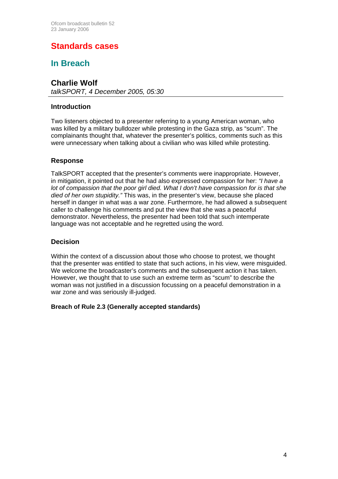# **Standards cases**

### **In Breach**

### **Charlie Wolf**

*talkSPORT, 4 December 2005, 05:30* 

### **Introduction**

Two listeners objected to a presenter referring to a young American woman, who was killed by a military bulldozer while protesting in the Gaza strip, as "scum". The complainants thought that, whatever the presenter's politics, comments such as this were unnecessary when talking about a civilian who was killed while protesting.

### **Response**

TalkSPORT accepted that the presenter's comments were inappropriate. However, in mitigation, it pointed out that he had also expressed compassion for her: *"I have a lot of compassion that the poor girl died. What I don't have compassion for is that she died of her own stupidity."* This was, in the presenter's view, because she placed herself in danger in what was a war zone. Furthermore, he had allowed a subsequent caller to challenge his comments and put the view that she was a peaceful demonstrator. Nevertheless, the presenter had been told that such intemperate language was not acceptable and he regretted using the word.

### **Decision**

Within the context of a discussion about those who choose to protest, we thought that the presenter was entitled to state that such actions, in his view, were misguided. We welcome the broadcaster's comments and the subsequent action it has taken. However, we thought that to use such an extreme term as "scum" to describe the woman was not justified in a discussion focussing on a peaceful demonstration in a war zone and was seriously ill-judged.

### **Breach of Rule 2.3 (Generally accepted standards)**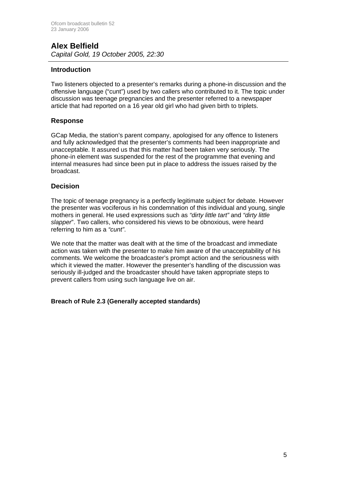### **Alex Belfield**  *Capital Gold, 19 October 2005, 22:30*

### **Introduction**

Two listeners objected to a presenter's remarks during a phone-in discussion and the offensive language ("cunt") used by two callers who contributed to it. The topic under discussion was teenage pregnancies and the presenter referred to a newspaper article that had reported on a 16 year old girl who had given birth to triplets.

### **Response**

GCap Media, the station's parent company, apologised for any offence to listeners and fully acknowledged that the presenter's comments had been inappropriate and unacceptable. It assured us that this matter had been taken very seriously. The phone-in element was suspended for the rest of the programme that evening and internal measures had since been put in place to address the issues raised by the broadcast.

### **Decision**

The topic of teenage pregnancy is a perfectly legitimate subject for debate. However the presenter was vociferous in his condemnation of this individual and young, single mothers in general. He used expressions such as *"dirty little tart"* and *"dirty little slapper*". Two callers, who considered his views to be obnoxious, were heard referring to him as a *"cunt"*.

We note that the matter was dealt with at the time of the broadcast and immediate action was taken with the presenter to make him aware of the unacceptability of his comments. We welcome the broadcaster's prompt action and the seriousness with which it viewed the matter. However the presenter's handling of the discussion was seriously ill-judged and the broadcaster should have taken appropriate steps to prevent callers from using such language live on air.

### **Breach of Rule 2.3 (Generally accepted standards)**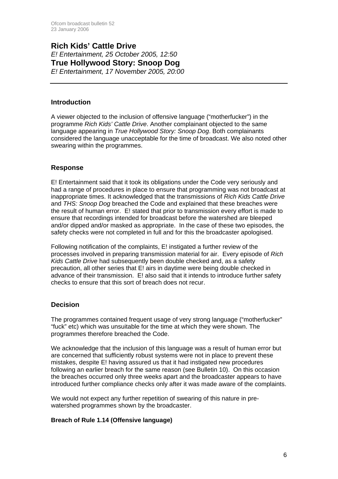### **Rich Kids' Cattle Drive**  *E! Entertainment, 25 October 2005, 12:50*  **True Hollywood Story: Snoop Dog**  *E! Entertainment, 17 November 2005, 20:00*

### **Introduction**

A viewer objected to the inclusion of offensive language ("motherfucker") in the programme *Rich Kids' Cattle Drive*. Another complainant objected to the same language appearing in *True Hollywood Story: Snoop Dog*. Both complainants considered the language unacceptable for the time of broadcast. We also noted other swearing within the programmes.

### **Response**

E! Entertainment said that it took its obligations under the Code very seriously and had a range of procedures in place to ensure that programming was not broadcast at inappropriate times. It acknowledged that the transmissions of *Rich Kids Cattle Drive*  and *THS: Snoop Dog* breached the Code and explained that these breaches were the result of human error. E! stated that prior to transmission every effort is made to ensure that recordings intended for broadcast before the watershed are bleeped and/or dipped and/or masked as appropriate. In the case of these two episodes, the safety checks were not completed in full and for this the broadcaster apologised.

Following notification of the complaints, E! instigated a further review of the processes involved in preparing transmission material for air. Every episode of *Rich Kids Cattle Drive* had subsequently been double checked and, as a safety precaution, all other series that E! airs in daytime were being double checked in advance of their transmission. E! also said that it intends to introduce further safety checks to ensure that this sort of breach does not recur.

### **Decision**

The programmes contained frequent usage of very strong language ("motherfucker" "fuck" etc) which was unsuitable for the time at which they were shown. The programmes therefore breached the Code.

We acknowledge that the inclusion of this language was a result of human error but are concerned that sufficiently robust systems were not in place to prevent these mistakes, despite E! having assured us that it had instigated new procedures following an earlier breach for the same reason (see Bulletin 10). On this occasion the breaches occurred only three weeks apart and the broadcaster appears to have introduced further compliance checks only after it was made aware of the complaints.

We would not expect any further repetition of swearing of this nature in prewatershed programmes shown by the broadcaster.

### **Breach of Rule 1.14 (Offensive language)**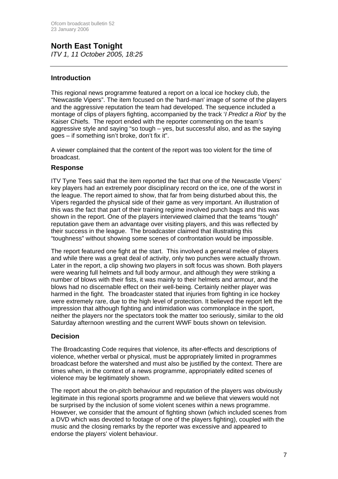### **North East Tonight**  *ITV 1, 11 October 2005, 18:25*

### **Introduction**

This regional news programme featured a report on a local ice hockey club, the "Newcastle Vipers". The item focused on the 'hard-man' image of some of the players and the aggressive reputation the team had developed. The sequence included a montage of clips of players fighting, accompanied by the track '*I Predict a Riot*' by the Kaiser Chiefs. The report ended with the reporter commenting on the team's aggressive style and saying "so tough – yes, but successful also, and as the saying goes – if something isn't broke, don't fix it".

A viewer complained that the content of the report was too violent for the time of broadcast.

### **Response**

ITV Tyne Tees said that the item reported the fact that one of the Newcastle Vipers' key players had an extremely poor disciplinary record on the ice, one of the worst in the league. The report aimed to show, that far from being disturbed about this, the Vipers regarded the physical side of their game as very important. An illustration of this was the fact that part of their training regime involved punch bags and this was shown in the report. One of the players interviewed claimed that the teams "tough" reputation gave them an advantage over visiting players, and this was reflected by their success in the league. The broadcaster claimed that illustrating this "toughness" without showing some scenes of confrontation would be impossible.

The report featured one fight at the start. This involved a general melee of players and while there was a great deal of activity, only two punches were actually thrown. Later in the report, a clip showing two players in soft focus was shown. Both players were wearing full helmets and full body armour, and although they were striking a number of blows with their fists, it was mainly to their helmets and armour, and the blows had no discernable effect on their well-being. Certainly neither player was harmed in the fight. The broadcaster stated that injuries from fighting in ice hockey were extremely rare, due to the high level of protection. It believed the report left the impression that although fighting and intimidation was commonplace in the sport, neither the players nor the spectators took the matter too seriously, similar to the old Saturday afternoon wrestling and the current WWF bouts shown on television.

### **Decision**

The Broadcasting Code requires that violence, its after-effects and descriptions of violence, whether verbal or physical, must be appropriately limited in programmes broadcast before the watershed and must also be justified by the context. There are times when, in the context of a news programme, appropriately edited scenes of violence may be legitimately shown.

The report about the on-pitch behaviour and reputation of the players was obviously legitimate in this regional sports programme and we believe that viewers would not be surprised by the inclusion of some violent scenes within a news programme. However, we consider that the amount of fighting shown (which included scenes from a DVD which was devoted to footage of one of the players fighting), coupled with the music and the closing remarks by the reporter was excessive and appeared to endorse the players' violent behaviour.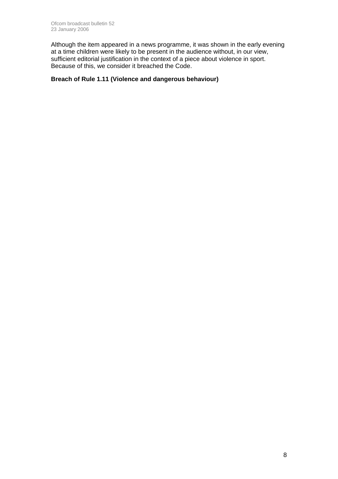Although the item appeared in a news programme, it was shown in the early evening at a time children were likely to be present in the audience without, in our view, sufficient editorial justification in the context of a piece about violence in sport. Because of this, we consider it breached the Code.

### **Breach of Rule 1.11 (Violence and dangerous behaviour)**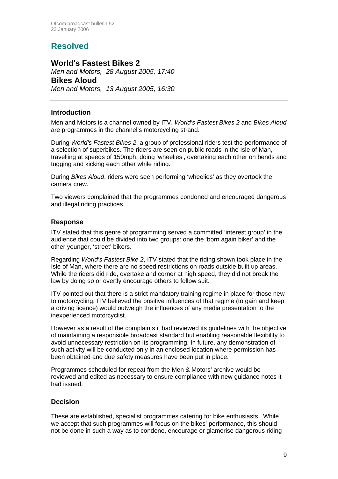# **Resolved**

### **World's Fastest Bikes 2**

*Men and Motors, 28 August 2005, 17:40*  **Bikes Aloud**  *Men and Motors, 13 August 2005, 16:30* 

### **Introduction**

Men and Motors is a channel owned by ITV. *World's Fastest Bikes 2* and *Bikes Aloud*  are programmes in the channel's motorcycling strand.

During *World's Fastest Bikes 2*, a group of professional riders test the performance of a selection of superbikes. The riders are seen on public roads in the Isle of Man, travelling at speeds of 150mph, doing 'wheelies', overtaking each other on bends and tugging and kicking each other while riding.

During *Bikes Aloud*, riders were seen performing 'wheelies' as they overtook the camera crew.

Two viewers complained that the programmes condoned and encouraged dangerous and illegal riding practices.

### **Response**

ITV stated that this genre of programming served a committed 'interest group' in the audience that could be divided into two groups: one the 'born again biker' and the other younger, 'street' bikers.

Regarding *World's Fastest Bike 2*, ITV stated that the riding shown took place in the Isle of Man, where there are no speed restrictions on roads outside built up areas. While the riders did ride, overtake and corner at high speed, they did not break the law by doing so or overtly encourage others to follow suit.

ITV pointed out that there is a strict mandatory training regime in place for those new to motorcycling. ITV believed the positive influences of that regime (to gain and keep a driving licence) would outweigh the influences of any media presentation to the inexperienced motorcyclist.

However as a result of the complaints it had reviewed its guidelines with the objective of maintaining a responsible broadcast standard but enabling reasonable flexibility to avoid unnecessary restriction on its programming. In future, any demonstration of such activity will be conducted only in an enclosed location where permission has been obtained and due safety measures have been put in place.

Programmes scheduled for repeat from the Men & Motors' archive would be reviewed and edited as necessary to ensure compliance with new guidance notes it had issued.

### **Decision**

These are established, specialist programmes catering for bike enthusiasts. While we accept that such programmes will focus on the bikes' performance, this should not be done in such a way as to condone, encourage or glamorise dangerous riding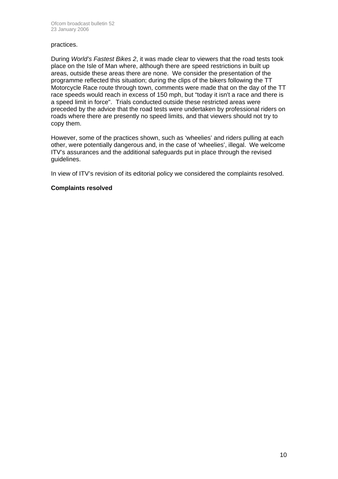#### practices.

During *World's Fastest Bikes 2*, it was made clear to viewers that the road tests took place on the Isle of Man where, although there are speed restrictions in built up areas, outside these areas there are none. We consider the presentation of the programme reflected this situation; during the clips of the bikers following the TT Motorcycle Race route through town, comments were made that on the day of the TT race speeds would reach in excess of 150 mph, but "today it isn't a race and there is a speed limit in force". Trials conducted outside these restricted areas were preceded by the advice that the road tests were undertaken by professional riders on roads where there are presently no speed limits, and that viewers should not try to copy them.

However, some of the practices shown, such as 'wheelies' and riders pulling at each other, were potentially dangerous and, in the case of 'wheelies', illegal. We welcome ITV's assurances and the additional safeguards put in place through the revised guidelines.

In view of ITV's revision of its editorial policy we considered the complaints resolved.

### **Complaints resolved**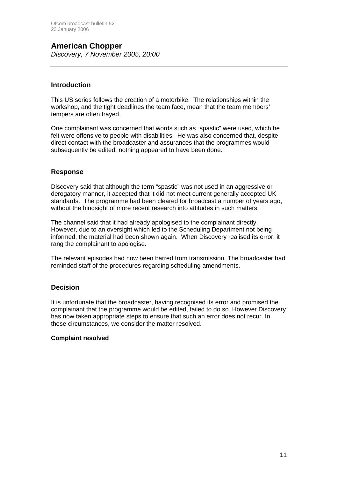# **American Chopper**

*Discovery, 7 November 2005, 20:00*

### **Introduction**

This US series follows the creation of a motorbike. The relationships within the workshop, and the tight deadlines the team face, mean that the team members' tempers are often frayed.

One complainant was concerned that words such as "spastic" were used, which he felt were offensive to people with disabilities. He was also concerned that, despite direct contact with the broadcaster and assurances that the programmes would subsequently be edited, nothing appeared to have been done.

### **Response**

Discovery said that although the term "spastic" was not used in an aggressive or derogatory manner, it accepted that it did not meet current generally accepted UK standards. The programme had been cleared for broadcast a number of years ago, without the hindsight of more recent research into attitudes in such matters.

The channel said that it had already apologised to the complainant directly. However, due to an oversight which led to the Scheduling Department not being informed, the material had been shown again. When Discovery realised its error, it rang the complainant to apologise.

The relevant episodes had now been barred from transmission. The broadcaster had reminded staff of the procedures regarding scheduling amendments.

### **Decision**

It is unfortunate that the broadcaster, having recognised its error and promised the complainant that the programme would be edited, failed to do so. However Discovery has now taken appropriate steps to ensure that such an error does not recur. In these circumstances, we consider the matter resolved.

### **Complaint resolved**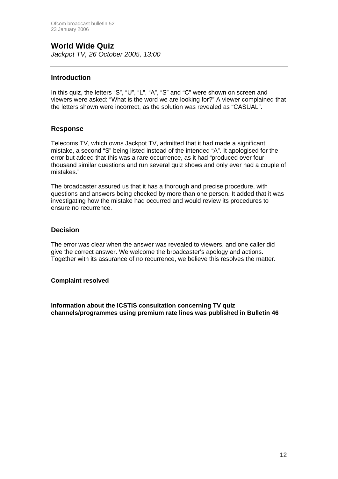# **World Wide Quiz**

*Jackpot TV, 26 October 2005, 13:00*

### **Introduction**

In this quiz, the letters "S", "U", "L", "A", "S" and "C" were shown on screen and viewers were asked: "What is the word we are looking for?" A viewer complained that the letters shown were incorrect, as the solution was revealed as "CASUAL".

### **Response**

Telecoms TV, which owns Jackpot TV, admitted that it had made a significant mistake, a second "S" being listed instead of the intended "A". It apologised for the error but added that this was a rare occurrence, as it had "produced over four thousand similar questions and run several quiz shows and only ever had a couple of mistakes."

The broadcaster assured us that it has a thorough and precise procedure, with questions and answers being checked by more than one person. It added that it was investigating how the mistake had occurred and would review its procedures to ensure no recurrence.

### **Decision**

The error was clear when the answer was revealed to viewers, and one caller did give the correct answer. We welcome the broadcaster's apology and actions. Together with its assurance of no recurrence, we believe this resolves the matter.

### **Complaint resolved**

**Information about the ICSTIS consultation concerning TV quiz channels/programmes using premium rate lines was published in Bulletin 46**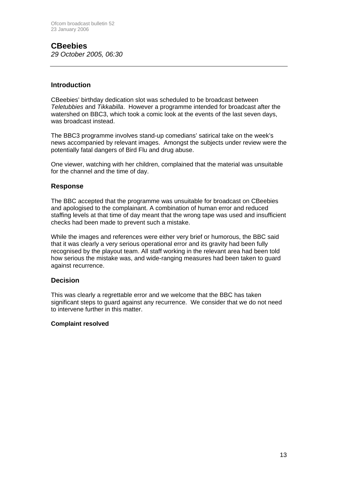### **CBeebies**  *29 October 2005, 06:30*

### **Introduction**

CBeebies' birthday dedication slot was scheduled to be broadcast between *Teletubbies* and *Tikkabilla*. However a programme intended for broadcast after the watershed on BBC3, which took a comic look at the events of the last seven days, was broadcast instead.

The BBC3 programme involves stand-up comedians' satirical take on the week's news accompanied by relevant images. Amongst the subjects under review were the potentially fatal dangers of Bird Flu and drug abuse.

One viewer, watching with her children, complained that the material was unsuitable for the channel and the time of day.

### **Response**

The BBC accepted that the programme was unsuitable for broadcast on CBeebies and apologised to the complainant. A combination of human error and reduced staffing levels at that time of day meant that the wrong tape was used and insufficient checks had been made to prevent such a mistake.

While the images and references were either very brief or humorous, the BBC said that it was clearly a very serious operational error and its gravity had been fully recognised by the playout team. All staff working in the relevant area had been told how serious the mistake was, and wide-ranging measures had been taken to guard against recurrence.

### **Decision**

This was clearly a regrettable error and we welcome that the BBC has taken significant steps to guard against any recurrence. We consider that we do not need to intervene further in this matter.

### **Complaint resolved**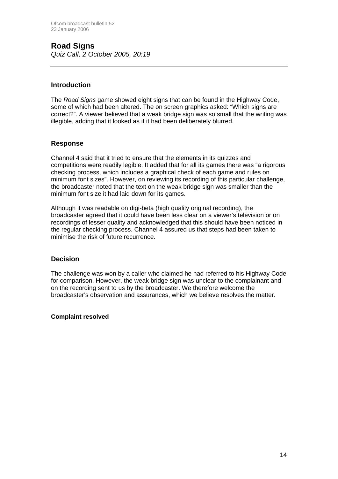# **Road Signs**

*Quiz Call, 2 October 2005, 20:19*

### **Introduction**

The *Road Signs* game showed eight signs that can be found in the Highway Code, some of which had been altered. The on screen graphics asked: "Which signs are correct?". A viewer believed that a weak bridge sign was so small that the writing was illegible, adding that it looked as if it had been deliberately blurred.

### **Response**

Channel 4 said that it tried to ensure that the elements in its quizzes and competitions were readily legible. It added that for all its games there was "a rigorous checking process, which includes a graphical check of each game and rules on minimum font sizes". However, on reviewing its recording of this particular challenge, the broadcaster noted that the text on the weak bridge sign was smaller than the minimum font size it had laid down for its games.

Although it was readable on digi-beta (high quality original recording), the broadcaster agreed that it could have been less clear on a viewer's television or on recordings of lesser quality and acknowledged that this should have been noticed in the regular checking process. Channel 4 assured us that steps had been taken to minimise the risk of future recurrence.

### **Decision**

The challenge was won by a caller who claimed he had referred to his Highway Code for comparison. However, the weak bridge sign was unclear to the complainant and on the recording sent to us by the broadcaster. We therefore welcome the broadcaster's observation and assurances, which we believe resolves the matter.

### **Complaint resolved**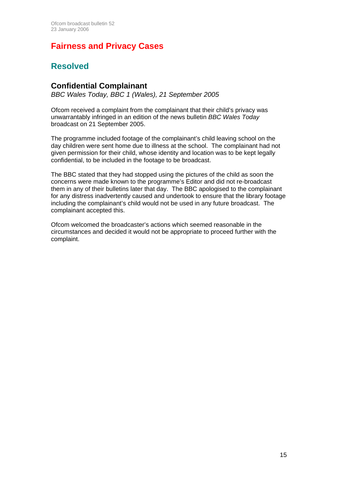# **Fairness and Privacy Cases**

### **Resolved**

### **Confidential Complainant**

*BBC Wales Today, BBC 1 (Wales), 21 September 2005*

Ofcom received a complaint from the complainant that their child's privacy was unwarrantably infringed in an edition of the news bulletin *BBC Wales Today* broadcast on 21 September 2005.

The programme included footage of the complainant's child leaving school on the day children were sent home due to illness at the school. The complainant had not given permission for their child, whose identity and location was to be kept legally confidential, to be included in the footage to be broadcast.

The BBC stated that they had stopped using the pictures of the child as soon the concerns were made known to the programme's Editor and did not re-broadcast them in any of their bulletins later that day. The BBC apologised to the complainant for any distress inadvertently caused and undertook to ensure that the library footage including the complainant's child would not be used in any future broadcast. The complainant accepted this.

Ofcom welcomed the broadcaster's actions which seemed reasonable in the circumstances and decided it would not be appropriate to proceed further with the complaint.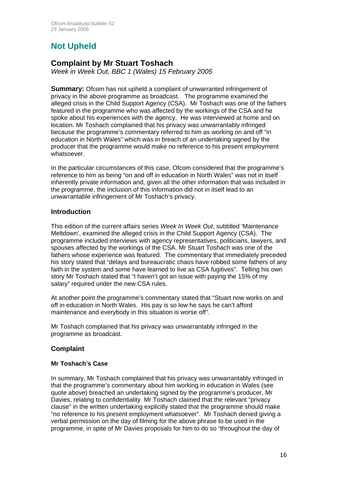# **Not Upheld**

### **Complaint by Mr Stuart Toshach**

*Week in Week Out, BBC 1 (Wales) 15 February 2005* 

**Summary:** Ofcom has not upheld a complaint of unwarranted infringement of privacy in the above programme as broadcast. The programme examined the alleged crisis in the Child Support Agency (CSA). Mr Toshach was one of the fathers featured in the programme who was affected by the workings of the CSA and he spoke about his experiences with the agency. He was interviewed at home and on location. Mr Toshach complained that his privacy was unwarrantably infringed because the programme's commentary referred to him as working on and off "in education in North Wales" which was in breach of an undertaking signed by the producer that the programme would make no reference to his present employment whatsoever.

In the particular circumstances of this case, Ofcom considered that the programme's reference to him as being "on and off in education in North Wales" was not in itself inherently private information and, given all the other information that was included in the programme, the inclusion of this information did not in itself lead to an unwarrantable infringement of Mr Toshach's privacy.

### **Introduction**

This edition of the current affairs series *Week In Week Out*, subtitled 'Maintenance Meltdown', examined the alleged crisis in the Child Support Agency (CSA). The programme included interviews with agency representatives, politicians, lawyers, and spouses affected by the workings of the CSA. Mr Stuart Toshach was one of the fathers whose experience was featured. The commentary that immediately preceded his story stated that "delays and bureaucratic chaos have robbed some fathers of any faith in the system and some have learned to live as CSA fugitives"*.* Telling his own story Mr Toshach stated that "I haven't got an issue with paying the 15% of my salary" required under the new CSA rules.

At another point the programme's commentary stated that "Stuart now works on and off in education in North Wales. His pay is so low he says he can't afford maintenance and everybody in this situation is worse off*".*

Mr Toshach complained that his privacy was unwarrantably infringed in the programme as broadcast.

### **Complaint**

### **Mr Toshach's Case**

In summary, Mr Toshach complained that his privacy was unwarrantably infringed in that the programme's commentary about him working in education in Wales (see quote above) breached an undertaking signed by the programme's producer, Mr Davies, relating to confidentiality. Mr Toshach claimed that the relevant "privacy clause" in the written undertaking explicitly stated that the programme should make "no reference to his present employment whatsoever". Mr Toshach denied giving a verbal permission on the day of filming for the above phrase to be used in the programme, in spite of Mr Davies proposals for him to do so "throughout the day of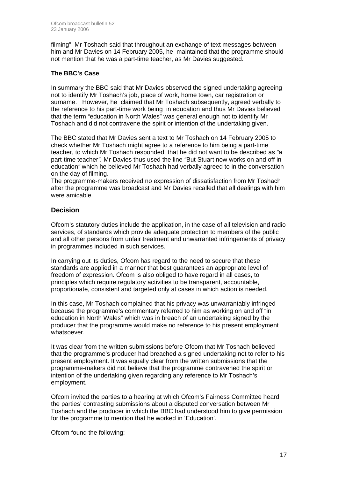filming". Mr Toshach said that throughout an exchange of text messages between him and Mr Davies on 14 February 2005, he maintained that the programme should not mention that he was a part-time teacher, as Mr Davies suggested.

### **The BBC's Case**

In summary the BBC said that Mr Davies observed the signed undertaking agreeing not to identify Mr Toshach's job, place of work, home town, car registration or surname. However, he claimed that Mr Toshach subsequently, agreed verbally to the reference to his part-time work being in education and thus Mr Davies believed that the term "education in North Wales" was general enough not to identify Mr Toshach and did not contravene the spirit or intention of the undertaking given.

The BBC stated that Mr Davies sent a text to Mr Toshach on 14 February 2005 to check whether Mr Toshach might agree to a reference to him being a part-time teacher, to which Mr Toshach responded that he did not want to be described as *"*a part-time teacher*".* Mr Davies thus used the line *"*But Stuart now works on and off in education*"* which he believed Mr Toshach had verbally agreed to in the conversation on the day of filming.

The programme-makers received no expression of dissatisfaction from Mr Toshach after the programme was broadcast and Mr Davies recalled that all dealings with him were amicable.

### **Decision**

Ofcom's statutory duties include the application, in the case of all television and radio services, of standards which provide adequate protection to members of the public and all other persons from unfair treatment and unwarranted infringements of privacy in programmes included in such services.

In carrying out its duties, Ofcom has regard to the need to secure that these standards are applied in a manner that best guarantees an appropriate level of freedom of expression. Ofcom is also obliged to have regard in all cases, to principles which require regulatory activities to be transparent, accountable, proportionate, consistent and targeted only at cases in which action is needed.

In this case, Mr Toshach complained that his privacy was unwarrantably infringed because the programme's commentary referred to him as working on and off "in education in North Wales" which was in breach of an undertaking signed by the producer that the programme would make no reference to his present employment whatsoever.

It was clear from the written submissions before Ofcom that Mr Toshach believed that the programme's producer had breached a signed undertaking not to refer to his present employment. It was equally clear from the written submissions that the programme-makers did not believe that the programme contravened the spirit or intention of the undertaking given regarding any reference to Mr Toshach's employment.

Ofcom invited the parties to a hearing at which Ofcom's Fairness Committee heard the parties' contrasting submissions about a disputed conversation between Mr Toshach and the producer in which the BBC had understood him to give permission for the programme to mention that he worked in 'Education'.

Ofcom found the following: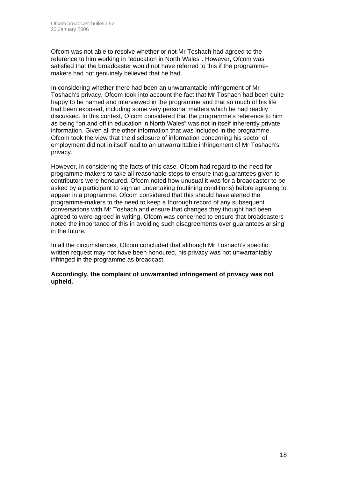Ofcom was not able to resolve whether or not Mr Toshach had agreed to the reference to him working in "education in North Wales". However, Ofcom was satisfied that the broadcaster would not have referred to this if the programmemakers had not genuinely believed that he had.

In considering whether there had been an unwarrantable infringement of Mr Toshach's privacy, Ofcom took into account the fact that Mr Toshach had been quite happy to be named and interviewed in the programme and that so much of his life had been exposed, including some very personal matters which he had readily discussed. In this context, Ofcom considered that the programme's reference to him as being "on and off in education in North Wales" was not in itself inherently private information. Given all the other information that was included in the programme, Ofcom took the view that the disclosure of information concerning his sector of employment did not in itself lead to an unwarrantable infringement of Mr Toshach's privacy.

However, in considering the facts of this case, Ofcom had regard to the need for programme-makers to take all reasonable steps to ensure that guarantees given to contributors were honoured. Ofcom noted how unusual it was for a broadcaster to be asked by a participant to sign an undertaking (outlining conditions) before agreeing to appear in a programme. Ofcom considered that this should have alerted the programme-makers to the need to keep a thorough record of any subsequent conversations with Mr Toshach and ensure that changes they thought had been agreed to were agreed in writing. Ofcom was concerned to ensure that broadcasters noted the importance of this in avoiding such disagreements over guarantees arising in the future.

In all the circumstances, Ofcom concluded that although Mr Toshach's specific written request may not have been honoured, his privacy was not unwarrantably infringed in the programme as broadcast.

**Accordingly, the complaint of unwarranted infringement of privacy was not upheld.**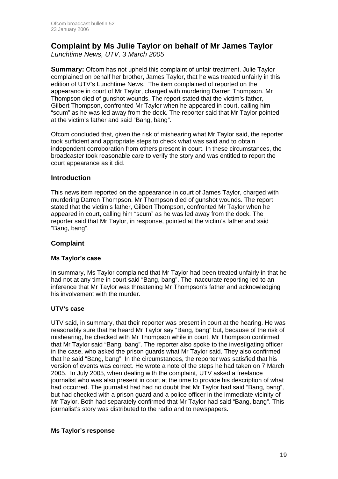# **Complaint by Ms Julie Taylor on behalf of Mr James Taylor**

*Lunchtime News, UTV, 3 March 2005* 

**Summary:** Ofcom has not upheld this complaint of unfair treatment. Julie Taylor complained on behalf her brother, James Taylor, that he was treated unfairly in this edition of UTV's Lunchtime News. The item complained of reported on the appearance in court of Mr Taylor, charged with murdering Darren Thompson. Mr Thompson died of gunshot wounds. The report stated that the victim's father, Gilbert Thompson, confronted Mr Taylor when he appeared in court, calling him "scum" as he was led away from the dock. The reporter said that Mr Taylor pointed at the victim's father and said "Bang, bang".

Ofcom concluded that, given the risk of mishearing what Mr Taylor said, the reporter took sufficient and appropriate steps to check what was said and to obtain independent corroboration from others present in court. In these circumstances, the broadcaster took reasonable care to verify the story and was entitled to report the court appearance as it did.

### **Introduction**

This news item reported on the appearance in court of James Taylor, charged with murdering Darren Thompson. Mr Thompson died of gunshot wounds. The report stated that the victim's father, Gilbert Thompson, confronted Mr Taylor when he appeared in court, calling him "scum" as he was led away from the dock. The reporter said that Mr Taylor, in response, pointed at the victim's father and said "Bang, bang".

### **Complaint**

### **Ms Taylor's case**

In summary, Ms Taylor complained that Mr Taylor had been treated unfairly in that he had not at any time in court said "Bang, bang". The inaccurate reporting led to an inference that Mr Taylor was threatening Mr Thompson's father and acknowledging his involvement with the murder.

### **UTV's case**

UTV said, in summary, that their reporter was present in court at the hearing. He was reasonably sure that he heard Mr Taylor say "Bang, bang" but, because of the risk of mishearing, he checked with Mr Thompson while in court. Mr Thompson confirmed that Mr Taylor said "Bang, bang". The reporter also spoke to the investigating officer in the case, who asked the prison guards what Mr Taylor said. They also confirmed that he said "Bang, bang". In the circumstances, the reporter was satisfied that his version of events was correct. He wrote a note of the steps he had taken on 7 March 2005. In July 2005, when dealing with the complaint, UTV asked a freelance journalist who was also present in court at the time to provide his description of what had occurred. The journalist had had no doubt that Mr Taylor had said "Bang, bang", but had checked with a prison guard and a police officer in the immediate vicinity of Mr Taylor. Both had separately confirmed that Mr Taylor had said "Bang, bang". This journalist's story was distributed to the radio and to newspapers.

### **Ms Taylor's response**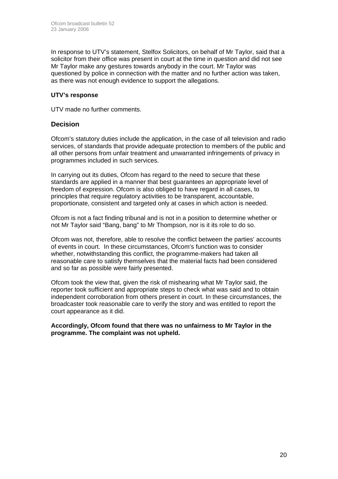In response to UTV's statement, Stelfox Solicitors, on behalf of Mr Taylor, said that a solicitor from their office was present in court at the time in question and did not see Mr Taylor make any gestures towards anybody in the court. Mr Taylor was questioned by police in connection with the matter and no further action was taken, as there was not enough evidence to support the allegations.

### **UTV's response**

UTV made no further comments.

### **Decision**

Ofcom's statutory duties include the application, in the case of all television and radio services, of standards that provide adequate protection to members of the public and all other persons from unfair treatment and unwarranted infringements of privacy in programmes included in such services.

In carrying out its duties, Ofcom has regard to the need to secure that these standards are applied in a manner that best guarantees an appropriate level of freedom of expression. Ofcom is also obliged to have regard in all cases, to principles that require regulatory activities to be transparent, accountable, proportionate, consistent and targeted only at cases in which action is needed.

Ofcom is not a fact finding tribunal and is not in a position to determine whether or not Mr Taylor said "Bang, bang" to Mr Thompson, nor is it its role to do so.

Ofcom was not, therefore, able to resolve the conflict between the parties' accounts of events in court. In these circumstances, Ofcom's function was to consider whether, notwithstanding this conflict, the programme-makers had taken all reasonable care to satisfy themselves that the material facts had been considered and so far as possible were fairly presented.

Ofcom took the view that, given the risk of mishearing what Mr Taylor said, the reporter took sufficient and appropriate steps to check what was said and to obtain independent corroboration from others present in court. In these circumstances, the broadcaster took reasonable care to verify the story and was entitled to report the court appearance as it did.

**Accordingly, Ofcom found that there was no unfairness to Mr Taylor in the programme. The complaint was not upheld.**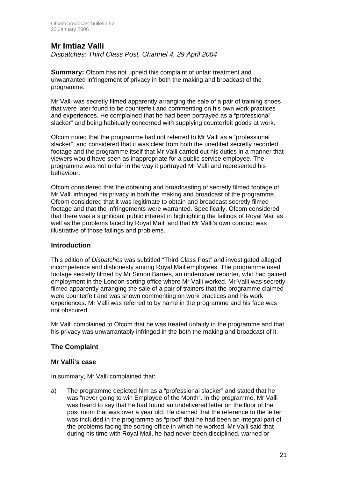### **Mr Imtiaz Valli**

*Dispatches: Third Class Post, Channel 4, 29 April 2004* 

**Summary:** Ofcom has not upheld this complaint of unfair treatment and unwarranted infringement of privacy in both the making and broadcast of the programme.

Mr Valli was secretly filmed apparently arranging the sale of a pair of training shoes that were later found to be counterfeit and commenting on his own work practices and experiences. He complained that he had been portrayed as a "professional slacker" and being habitually concerned with supplying counterfeit goods at work.

Ofcom noted that the programme had not referred to Mr Valli as a "professional slacker", and considered that it was clear from both the unedited secretly recorded footage and the programme itself that Mr Valli carried out his duties in a manner that viewers would have seen as inappropriate for a public service employee. The programme was not unfair in the way it portrayed Mr Valli and represented his behaviour.

Ofcom considered that the obtaining and broadcasting of secretly filmed footage of Mr Valli infringed his privacy in both the making and broadcast of the programme. Ofcom considered that it was legitimate to obtain and broadcast secretly filmed footage and that the infringements were warranted. Specifically, Ofcom considered that there was a significant public interest in highlighting the failings of Royal Mail as well as the problems faced by Royal Mail, and that Mr Valli's own conduct was illustrative of those failings and problems.

### **Introduction**

This edition of *Dispatches* was subtitled "Third Class Post" and investigated alleged incompetence and dishonesty among Royal Mail employees. The programme used footage secretly filmed by Mr Simon Barnes, an undercover reporter, who had gained employment in the London sorting office where Mr Valli worked. Mr Valli was secretly filmed apparently arranging the sale of a pair of trainers that the programme claimed were counterfeit and was shown commenting on work practices and his work experiences. Mr Valli was referred to by name in the programme and his face was not obscured.

Mr Valli complained to Ofcom that he was treated unfairly in the programme and that his privacy was unwarrantably infringed in the both the making and broadcast of it.

### **The Complaint**

### **Mr Valli's case**

In summary, Mr Valli complained that:

a) The programme depicted him as a "professional slacker" and stated that he was "never going to win Employee of the Month". In the programme, Mr Valli was heard to say that he had found an undelivered letter on the floor of the post room that was over a year old. He claimed that the reference to the letter was included in the programme as "proof" that he had been an integral part of the problems facing the sorting office in which he worked. Mr Valli said that during his time with Royal Mail, he had never been disciplined, warned or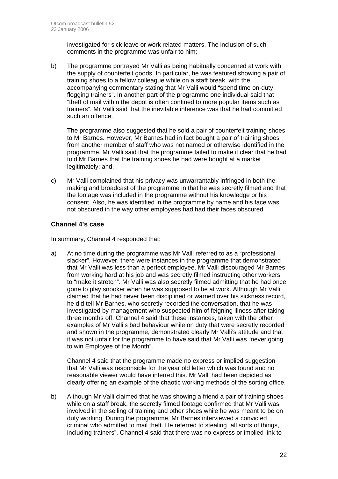investigated for sick leave or work related matters. The inclusion of such comments in the programme was unfair to him;

b) The programme portrayed Mr Valli as being habitually concerned at work with the supply of counterfeit goods. In particular, he was featured showing a pair of training shoes to a fellow colleague while on a staff break, with the accompanying commentary stating that Mr Valli would "spend time on-duty flogging trainers". In another part of the programme one individual said that "theft of mail within the depot is often confined to more popular items such as trainers". Mr Valli said that the inevitable inference was that he had committed such an offence.

 The programme also suggested that he sold a pair of counterfeit training shoes to Mr Barnes. However, Mr Barnes had in fact bought a pair of training shoes from another member of staff who was not named or otherwise identified in the programme. Mr Valli said that the programme failed to make it clear that he had told Mr Barnes that the training shoes he had were bought at a market legitimately; and,

c) Mr Valli complained that his privacy was unwarrantably infringed in both the making and broadcast of the programme in that he was secretly filmed and that the footage was included in the programme without his knowledge or his consent. Also, he was identified in the programme by name and his face was not obscured in the way other employees had had their faces obscured.

### **Channel 4's case**

In summary, Channel 4 responded that:

a) At no time during the programme was Mr Valli referred to as a "professional slacker". However, there were instances in the programme that demonstrated that Mr Valli was less than a perfect employee. Mr Valli discouraged Mr Barnes from working hard at his job and was secretly filmed instructing other workers to "make it stretch". Mr Valli was also secretly filmed admitting that he had once gone to play snooker when he was supposed to be at work. Although Mr Valli claimed that he had never been disciplined or warned over his sickness record, he did tell Mr Barnes, who secretly recorded the conversation, that he was investigated by management who suspected him of feigning illness after taking three months off. Channel 4 said that these instances, taken with the other examples of Mr Valli's bad behaviour while on duty that were secretly recorded and shown in the programme, demonstrated clearly Mr Valli's attitude and that it was not unfair for the programme to have said that Mr Valli was "never going to win Employee of the Month".

 Channel 4 said that the programme made no express or implied suggestion that Mr Valli was responsible for the year old letter which was found and no reasonable viewer would have inferred this. Mr Valli had been depicted as clearly offering an example of the chaotic working methods of the sorting office.

b) Although Mr Valli claimed that he was showing a friend a pair of training shoes while on a staff break, the secretly filmed footage confirmed that Mr Valli was involved in the selling of training and other shoes while he was meant to be on duty working. During the programme, Mr Barnes interviewed a convicted criminal who admitted to mail theft. He referred to stealing "all sorts of things, including trainers". Channel 4 said that there was no express or implied link to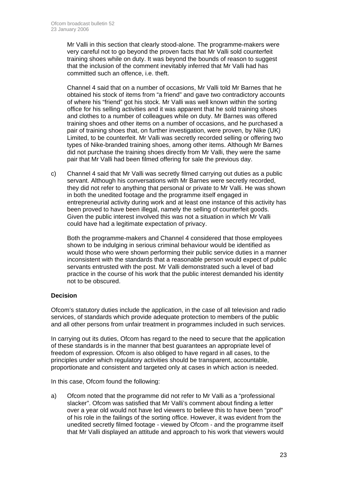Mr Valli in this section that clearly stood-alone. The programme-makers were very careful not to go beyond the proven facts that Mr Valli sold counterfeit training shoes while on duty. It was beyond the bounds of reason to suggest that the inclusion of the comment inevitably inferred that Mr Valli had has committed such an offence, i.e. theft.

 Channel 4 said that on a number of occasions, Mr Valli told Mr Barnes that he obtained his stock of items from "a friend" and gave two contradictory accounts of where his "friend" got his stock. Mr Valli was well known within the sorting office for his selling activities and it was apparent that he sold training shoes and clothes to a number of colleagues while on duty. Mr Barnes was offered training shoes and other items on a number of occasions, and he purchased a pair of training shoes that, on further investigation, were proven, by Nike (UK) Limited, to be counterfeit. Mr Valli was secretly recorded selling or offering two types of Nike-branded training shoes, among other items. Although Mr Barnes did not purchase the training shoes directly from Mr Valli, they were the same pair that Mr Valli had been filmed offering for sale the previous day.

c) Channel 4 said that Mr Valli was secretly filmed carrying out duties as a public servant. Although his conversations with Mr Barnes were secretly recorded, they did not refer to anything that personal or private to Mr Valli. He was shown in both the unedited footage and the programme itself engaged in entrepreneurial activity during work and at least one instance of this activity has been proved to have been illegal, namely the selling of counterfeit goods. Given the public interest involved this was not a situation in which Mr Valli could have had a legitimate expectation of privacy.

 Both the programme-makers and Channel 4 considered that those employees shown to be indulging in serious criminal behaviour would be identified as would those who were shown performing their public service duties in a manner inconsistent with the standards that a reasonable person would expect of public servants entrusted with the post. Mr Valli demonstrated such a level of bad practice in the course of his work that the public interest demanded his identity not to be obscured.

### **Decision**

Ofcom's statutory duties include the application, in the case of all television and radio services, of standards which provide adequate protection to members of the public and all other persons from unfair treatment in programmes included in such services.

In carrying out its duties, Ofcom has regard to the need to secure that the application of these standards is in the manner that best guarantees an appropriate level of freedom of expression. Ofcom is also obliged to have regard in all cases, to the principles under which regulatory activities should be transparent, accountable, proportionate and consistent and targeted only at cases in which action is needed.

In this case, Ofcom found the following:

a) Ofcom noted that the programme did not refer to Mr Valli as a "professional slacker". Ofcom was satisfied that Mr Valli's comment about finding a letter over a year old would not have led viewers to believe this to have been "proof" of his role in the failings of the sorting office. However, it was evident from the unedited secretly filmed footage - viewed by Ofcom - and the programme itself that Mr Valli displayed an attitude and approach to his work that viewers would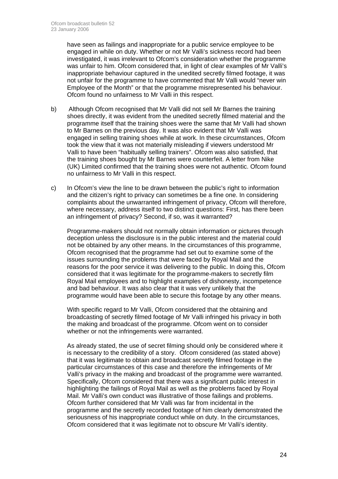have seen as failings and inappropriate for a public service employee to be engaged in while on duty. Whether or not Mr Valli's sickness record had been investigated, it was irrelevant to Ofcom's consideration whether the programme was unfair to him. Ofcom considered that, in light of clear examples of Mr Valli's inappropriate behaviour captured in the unedited secretly filmed footage, it was not unfair for the programme to have commented that Mr Valli would "never win Employee of the Month" or that the programme misrepresented his behaviour. Ofcom found no unfairness to Mr Valli in this respect.

- b) Although Ofcom recognised that Mr Valli did not sell Mr Barnes the training shoes directly, it was evident from the unedited secretly filmed material and the programme itself that the training shoes were the same that Mr Valli had shown to Mr Barnes on the previous day. It was also evident that Mr Valli was engaged in selling training shoes while at work. In these circumstances, Ofcom took the view that it was not materially misleading if viewers understood Mr Valli to have been "habitually selling trainers". Ofcom was also satisfied, that the training shoes bought by Mr Barnes were counterfeit. A letter from Nike (UK) Limited confirmed that the training shoes were not authentic. Ofcom found no unfairness to Mr Valli in this respect.
- c) In Ofcom's view the line to be drawn between the public's right to information and the citizen's right to privacy can sometimes be a fine one. In considering complaints about the unwarranted infringement of privacy, Ofcom will therefore, where necessary, address itself to two distinct questions: First, has there been an infringement of privacy? Second, if so, was it warranted?

 Programme-makers should not normally obtain information or pictures through deception unless the disclosure is in the public interest and the material could not be obtained by any other means. In the circumstances of this programme, Ofcom recognised that the programme had set out to examine some of the issues surrounding the problems that were faced by Royal Mail and the reasons for the poor service it was delivering to the public. In doing this, Ofcom considered that it was legitimate for the programme-makers to secretly film Royal Mail employees and to highlight examples of dishonesty, incompetence and bad behaviour. It was also clear that it was very unlikely that the programme would have been able to secure this footage by any other means.

With specific regard to Mr Valli, Ofcom considered that the obtaining and broadcasting of secretly filmed footage of Mr Valli infringed his privacy in both the making and broadcast of the programme. Ofcom went on to consider whether or not the infringements were warranted.

 As already stated, the use of secret filming should only be considered where it is necessary to the credibility of a story. Ofcom considered (as stated above) that it was legitimate to obtain and broadcast secretly filmed footage in the particular circumstances of this case and therefore the infringements of Mr Valli's privacy in the making and broadcast of the programme were warranted. Specifically, Ofcom considered that there was a significant public interest in highlighting the failings of Royal Mail as well as the problems faced by Royal Mail. Mr Valli's own conduct was illustrative of those failings and problems. Ofcom further considered that Mr Valli was far from incidental in the programme and the secretly recorded footage of him clearly demonstrated the seriousness of his inappropriate conduct while on duty. In the circumstances, Ofcom considered that it was legitimate not to obscure Mr Valli's identity.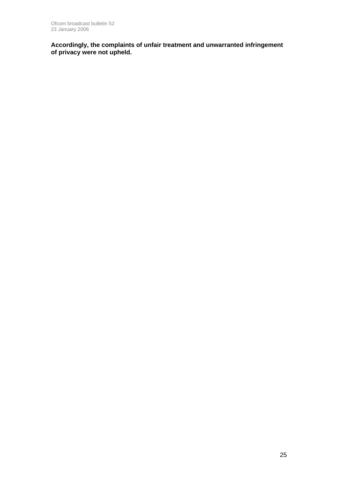**Accordingly, the complaints of unfair treatment and unwarranted infringement of privacy were not upheld.**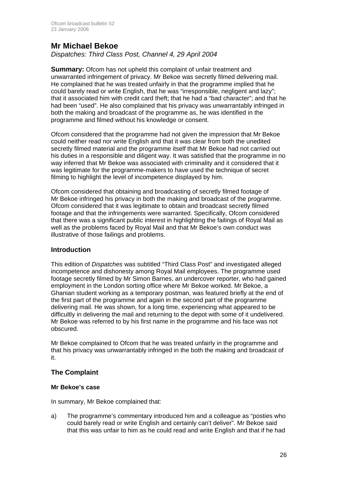### **Mr Michael Bekoe**

*Dispatches: Third Class Post, Channel 4, 29 April 2004* 

**Summary:** Ofcom has not upheld this complaint of unfair treatment and unwarranted infringement of privacy. Mr Bekoe was secretly filmed delivering mail. He complained that he was treated unfairly in that the programme implied that he could barely read or write English, that he was "irresponsible, negligent and lazy"; that it associated him with credit card theft; that he had a "bad character"; and that he had been "used". He also complained that his privacy was unwarrantably infringed in both the making and broadcast of the programme as, he was identified in the programme and filmed without his knowledge or consent.

Ofcom considered that the programme had not given the impression that Mr Bekoe could neither read nor write English and that it was clear from both the unedited secretly filmed material and the programme itself that Mr Bekoe had not carried out his duties in a responsible and diligent way. It was satisfied that the programme in no way inferred that Mr Bekoe was associated with criminality and it considered that it was legitimate for the programme-makers to have used the technique of secret filming to highlight the level of incompetence displayed by him.

Ofcom considered that obtaining and broadcasting of secretly filmed footage of Mr Bekoe infringed his privacy in both the making and broadcast of the programme. Ofcom considered that it was legitimate to obtain and broadcast secretly filmed footage and that the infringements were warranted. Specifically, Ofcom considered that there was a significant public interest in highlighting the failings of Royal Mail as well as the problems faced by Royal Mail and that Mr Bekoe's own conduct was illustrative of those failings and problems.

### **Introduction**

This edition of *Dispatches* was subtitled "Third Class Post" and investigated alleged incompetence and dishonesty among Royal Mail employees. The programme used footage secretly filmed by Mr Simon Barnes, an undercover reporter, who had gained employment in the London sorting office where Mr Bekoe worked. Mr Bekoe, a Ghanian student working as a temporary postman, was featured briefly at the end of the first part of the programme and again in the second part of the programme delivering mail. He was shown, for a long time, experiencing what appeared to be difficultly in delivering the mail and returning to the depot with some of it undelivered. Mr Bekoe was referred to by his first name in the programme and his face was not obscured.

Mr Bekoe complained to Ofcom that he was treated unfairly in the programme and that his privacy was unwarrantably infringed in the both the making and broadcast of it.

### **The Complaint**

### **Mr Bekoe's case**

In summary, Mr Bekoe complained that:

a) The programme's commentary introduced him and a colleague as "posties who could barely read or write English and certainly can't deliver". Mr Bekoe said that this was unfair to him as he could read and write English and that if he had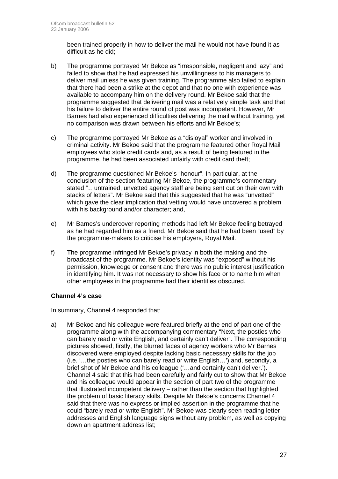been trained properly in how to deliver the mail he would not have found it as difficult as he did;

- b) The programme portrayed Mr Bekoe as "irresponsible, negligent and lazy" and failed to show that he had expressed his unwillingness to his managers to deliver mail unless he was given training. The programme also failed to explain that there had been a strike at the depot and that no one with experience was available to accompany him on the delivery round. Mr Bekoe said that the programme suggested that delivering mail was a relatively simple task and that his failure to deliver the entire round of post was incompetent. However, Mr Barnes had also experienced difficulties delivering the mail without training, yet no comparison was drawn between his efforts and Mr Bekoe's;
- c) The programme portrayed Mr Bekoe as a "disloyal" worker and involved in criminal activity. Mr Bekoe said that the programme featured other Royal Mail employees who stole credit cards and, as a result of being featured in the programme, he had been associated unfairly with credit card theft;
- d) The programme questioned Mr Bekoe's "honour". In particular, at the conclusion of the section featuring Mr Bekoe, the programme's commentary stated "…untrained, unvetted agency staff are being sent out on their own with stacks of letters". Mr Bekoe said that this suggested that he was "unvetted" which gave the clear implication that vetting would have uncovered a problem with his background and/or character; and,
- e) Mr Barnes's undercover reporting methods had left Mr Bekoe feeling betrayed as he had regarded him as a friend. Mr Bekoe said that he had been "used" by the programme-makers to criticise his employers, Royal Mail.
- f) The programme infringed Mr Bekoe's privacy in both the making and the broadcast of the programme. Mr Bekoe's identity was "exposed" without his permission, knowledge or consent and there was no public interest justification in identifying him. It was not necessary to show his face or to name him when other employees in the programme had their identities obscured.

### **Channel 4's case**

In summary, Channel 4 responded that:

a) Mr Bekoe and his colleague were featured briefly at the end of part one of the programme along with the accompanying commentary "Next, the posties who can barely read or write English, and certainly can't deliver". The corresponding pictures showed, firstly, the blurred faces of agency workers who Mr Barnes discovered were employed despite lacking basic necessary skills for the job (i.e. '…the posties who can barely read or write English…') and, secondly, a brief shot of Mr Bekoe and his colleague ('…and certainly can't deliver.'). Channel 4 said that this had been carefully and fairly cut to show that Mr Bekoe and his colleague would appear in the section of part two of the programme that illustrated incompetent delivery – rather than the section that highlighted the problem of basic literacy skills. Despite Mr Bekoe's concerns Channel 4 said that there was no express or implied assertion in the programme that he could "barely read or write English". Mr Bekoe was clearly seen reading letter addresses and English language signs without any problem, as well as copying down an apartment address list;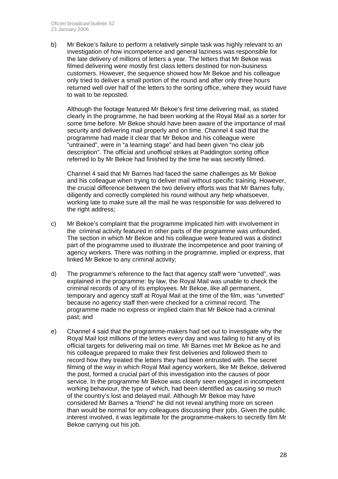b) Mr Bekoe's failure to perform a relatively simple task was highly relevant to an investigation of how incompetence and general laziness was responsible for the late delivery of millions of letters a year. The letters that Mr Bekoe was filmed delivering were mostly first class letters destined for non-business customers. However, the sequence showed how Mr Bekoe and his colleague only tried to deliver a small portion of the round and after only three hours returned well over half of the letters to the sorting office, where they would have to wait to be reposted.

 Although the footage featured Mr Bekoe's first time delivering mail, as stated clearly in the programme, he had been working at the Royal Mail as a sorter for some time before. Mr Bekoe should have been aware of the importance of mail security and delivering mail properly and on time. Channel 4 said that the programme had made it clear that Mr Bekoe and his colleague were "untrained", were in "a learning stage" and had been given "no clear job description". The official and unofficial strikes at Paddington sorting office referred to by Mr Bekoe had finished by the time he was secretly filmed.

 Channel 4 said that Mr Barnes had faced the same challenges as Mr Bekoe and his colleague when trying to deliver mail without specific training. However, the crucial difference between the two delivery efforts was that Mr Barnes fully, diligently and correctly completed his round without any help whatsoever, working late to make sure all the mail he was responsible for was delivered to the right address;

- c) Mr Bekoe's complaint that the programme implicated him with involvement in the criminal activity featured in other parts of the programme was unfounded. The section in which Mr Bekoe and his colleague were featured was a distinct part of the programme used to illustrate the incompetence and poor training of agency workers. There was nothing in the programme, implied or express, that linked Mr Bekoe to any criminal activity;
- d) The programme's reference to the fact that agency staff were "unvetted", was explained in the programme: by law, the Royal Mail was unable to check the criminal records of any of its employees. Mr Bekoe, like all permanent, temporary and agency staff at Royal Mail at the time of the film, was "unvetted" because no agency staff then were checked for a criminal record. The programme made no express or implied claim that Mr Bekoe had a criminal past; and
- e) Channel 4 said that the programme-makers had set out to investigate why the Royal Mail lost millions of the letters every day and was failing to hit any of its official targets for delivering mail on time. Mr Barnes met Mr Bekoe as he and his colleague prepared to make their first deliveries and followed them to record how they treated the letters they had been entrusted with. The secret filming of the way in which Royal Mail agency workers, like Mr Bekoe, delivered the post, formed a crucial part of this investigation into the causes of poor service. In the programme Mr Bekoe was clearly seen engaged in incompetent working behaviour, the type of which, had been identified as causing so much of the country's lost and delayed mail. Although Mr Bekoe may have considered Mr Barnes a "friend" he did not reveal anything more on screen than would be normal for any colleagues discussing their jobs. Given the public interest involved, it was legitimate for the programme-makers to secretly film Mr Bekoe carrying out his job.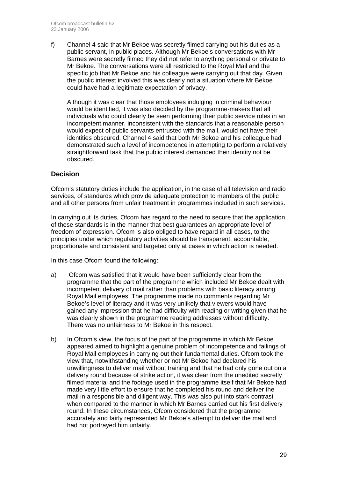f) Channel 4 said that Mr Bekoe was secretly filmed carrying out his duties as a public servant, in public places. Although Mr Bekoe's conversations with Mr Barnes were secretly filmed they did not refer to anything personal or private to Mr Bekoe. The conversations were all restricted to the Royal Mail and the specific job that Mr Bekoe and his colleague were carrying out that day. Given the public interest involved this was clearly not a situation where Mr Bekoe could have had a legitimate expectation of privacy.

 Although it was clear that those employees indulging in criminal behaviour would be identified, it was also decided by the programme-makers that all individuals who could clearly be seen performing their public service roles in an incompetent manner, inconsistent with the standards that a reasonable person would expect of public servants entrusted with the mail, would not have their identities obscured. Channel 4 said that both Mr Bekoe and his colleague had demonstrated such a level of incompetence in attempting to perform a relatively straightforward task that the public interest demanded their identity not be obscured.

### **Decision**

Ofcom's statutory duties include the application, in the case of all television and radio services, of standards which provide adequate protection to members of the public and all other persons from unfair treatment in programmes included in such services.

In carrying out its duties, Ofcom has regard to the need to secure that the application of these standards is in the manner that best guarantees an appropriate level of freedom of expression. Ofcom is also obliged to have regard in all cases, to the principles under which regulatory activities should be transparent, accountable, proportionate and consistent and targeted only at cases in which action is needed.

In this case Ofcom found the following:

- a) Ofcom was satisfied that it would have been sufficiently clear from the programme that the part of the programme which included Mr Bekoe dealt with incompetent delivery of mail rather than problems with basic literacy among Royal Mail employees. The programme made no comments regarding Mr Bekoe's level of literacy and it was very unlikely that viewers would have gained any impression that he had difficulty with reading or writing given that he was clearly shown in the programme reading addresses without difficulty. There was no unfairness to Mr Bekoe in this respect.
- b) In Ofcom's view, the focus of the part of the programme in which Mr Bekoe appeared aimed to highlight a genuine problem of incompetence and failings of Royal Mail employees in carrying out their fundamental duties. Ofcom took the view that, notwithstanding whether or not Mr Bekoe had declared his unwillingness to deliver mail without training and that he had only gone out on a delivery round because of strike action, it was clear from the unedited secretly filmed material and the footage used in the programme itself that Mr Bekoe had made very little effort to ensure that he completed his round and deliver the mail in a responsible and diligent way. This was also put into stark contrast when compared to the manner in which Mr Barnes carried out his first delivery round. In these circumstances, Ofcom considered that the programme accurately and fairly represented Mr Bekoe's attempt to deliver the mail and had not portrayed him unfairly.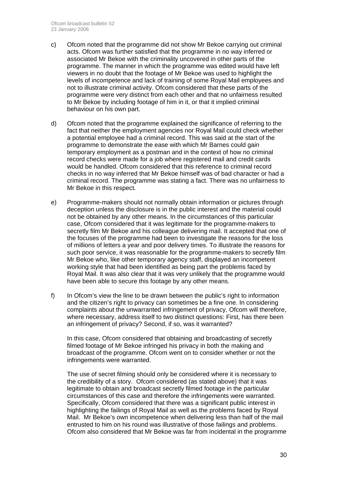- c) Ofcom noted that the programme did not show Mr Bekoe carrying out criminal acts. Ofcom was further satisfied that the programme in no way inferred or associated Mr Bekoe with the criminality uncovered in other parts of the programme. The manner in which the programme was edited would have left viewers in no doubt that the footage of Mr Bekoe was used to highlight the levels of incompetence and lack of training of some Royal Mail employees and not to illustrate criminal activity. Ofcom considered that these parts of the programme were very distinct from each other and that no unfairness resulted to Mr Bekoe by including footage of him in it, or that it implied criminal behaviour on his own part.
- d) Ofcom noted that the programme explained the significance of referring to the fact that neither the employment agencies nor Royal Mail could check whether a potential employee had a criminal record. This was said at the start of the programme to demonstrate the ease with which Mr Barnes could gain temporary employment as a postman and in the context of how no criminal record checks were made for a job where registered mail and credit cards would be handled. Ofcom considered that this reference to criminal record checks in no way inferred that Mr Bekoe himself was of bad character or had a criminal record. The programme was stating a fact. There was no unfairness to Mr Bekoe in this respect.
- e) Programme-makers should not normally obtain information or pictures through deception unless the disclosure is in the public interest and the material could not be obtained by any other means. In the circumstances of this particular case, Ofcom considered that it was legitimate for the programme-makers to secretly film Mr Bekoe and his colleague delivering mail. It accepted that one of the focuses of the programme had been to investigate the reasons for the loss of millions of letters a year and poor delivery times. To illustrate the reasons for such poor service, it was reasonable for the programme-makers to secretly film Mr Bekoe who, like other temporary agency staff, displayed an incompetent working style that had been identified as being part the problems faced by Royal Mail. It was also clear that it was very unlikely that the programme would have been able to secure this footage by any other means.
- f) In Ofcom's view the line to be drawn between the public's right to information and the citizen's right to privacy can sometimes be a fine one. In considering complaints about the unwarranted infringement of privacy, Ofcom will therefore, where necessary, address itself to two distinct questions: First, has there been an infringement of privacy? Second, if so, was it warranted?

 In this case, Ofcom considered that obtaining and broadcasting of secretly filmed footage of Mr Bekoe infringed his privacy in both the making and broadcast of the programme. Ofcom went on to consider whether or not the infringements were warranted.

 The use of secret filming should only be considered where it is necessary to the credibility of a story. Ofcom considered (as stated above) that it was legitimate to obtain and broadcast secretly filmed footage in the particular circumstances of this case and therefore the infringements were warranted. Specifically, Ofcom considered that there was a significant public interest in highlighting the failings of Royal Mail as well as the problems faced by Royal Mail. Mr Bekoe's own incompetence when delivering less than half of the mail entrusted to him on his round was illustrative of those failings and problems. Ofcom also considered that Mr Bekoe was far from incidental in the programme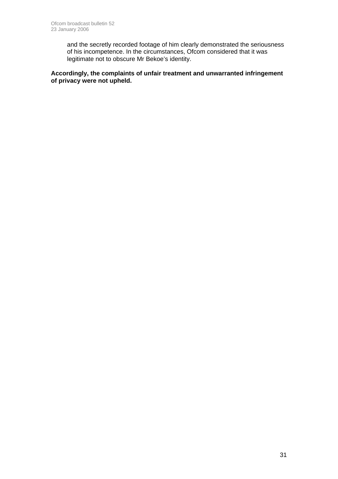and the secretly recorded footage of him clearly demonstrated the seriousness of his incompetence. In the circumstances, Ofcom considered that it was legitimate not to obscure Mr Bekoe's identity.

**Accordingly, the complaints of unfair treatment and unwarranted infringement of privacy were not upheld.**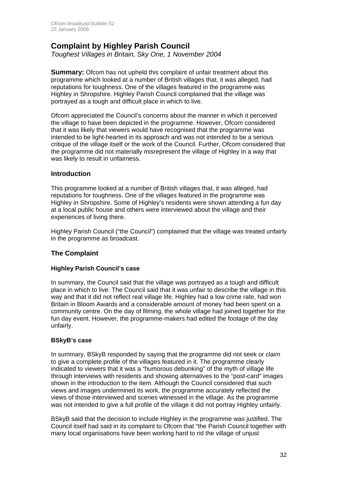### **Complaint by Highley Parish Council**

*Toughest Villages in Britain, Sky One, 1 November 2004* 

**Summary:** Ofcom has not upheld this complaint of unfair treatment about this programme which looked at a number of British villages that, it was alleged, had reputations for toughness. One of the villages featured in the programme was Highley in Shropshire. Highley Parish Council complained that the village was portrayed as a tough and difficult place in which to live.

Ofcom appreciated the Council's concerns about the manner in which it perceived the village to have been depicted in the programme. However, Ofcom considered that it was likely that viewers would have recognised that the programme was intended to be light-hearted in its approach and was not intended to be a serious critique of the village itself or the work of the Council. Further, Ofcom considered that the programme did not materially misrepresent the village of Highley in a way that was likely to result in unfairness.

### **Introduction**

This programme looked at a number of British villages that, it was alleged, had reputations for toughness. One of the villages featured in the programme was Highley in Shropshire. Some of Highley's residents were shown attending a fun day at a local public house and others were interviewed about the village and their experiences of living there.

Highley Parish Council ("the Council") complained that the village was treated unfairly in the programme as broadcast.

### **The Complaint**

### **Highley Parish Council's case**

In summary, the Council said that the village was portrayed as a tough and difficult place in which to live. The Council said that it was unfair to describe the village in this way and that it did not reflect real village life. Highley had a low crime rate, had won Britain in Bloom Awards and a considerable amount of money had been spent on a community centre. On the day of filming, the whole village had joined together for the fun day event. However, the programme-makers had edited the footage of the day unfairly.

### **BSkyB's case**

In summary, BSkyB responded by saying that the programme did not seek or claim to give a complete profile of the villages featured in it. The programme clearly indicated to viewers that it was a "humorous debunking" of the myth of village life through interviews with residents and showing alternatives to the "post-card" images shown in the introduction to the item. Although the Council considered that such views and images undermined its work, the programme accurately reflected the views of those interviewed and scenes witnessed in the village. As the programme was not intended to give a full profile of the village it did not portray Highley unfairly.

BSkyB said that the decision to include Highley in the programme was justified. The Council itself had said in its complaint to Ofcom that "the Parish Council together with many local organisations have been working hard to rid the village of unjust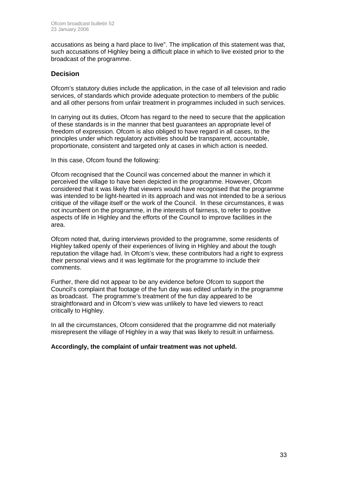accusations as being a hard place to live". The implication of this statement was that, such accusations of Highley being a difficult place in which to live existed prior to the broadcast of the programme.

### **Decision**

Ofcom's statutory duties include the application, in the case of all television and radio services, of standards which provide adequate protection to members of the public and all other persons from unfair treatment in programmes included in such services.

In carrying out its duties, Ofcom has regard to the need to secure that the application of these standards is in the manner that best guarantees an appropriate level of freedom of expression. Ofcom is also obliged to have regard in all cases, to the principles under which regulatory activities should be transparent, accountable, proportionate, consistent and targeted only at cases in which action is needed.

In this case, Ofcom found the following:

Ofcom recognised that the Council was concerned about the manner in which it perceived the village to have been depicted in the programme. However, Ofcom considered that it was likely that viewers would have recognised that the programme was intended to be light-hearted in its approach and was not intended to be a serious critique of the village itself or the work of the Council. In these circumstances, it was not incumbent on the programme, in the interests of fairness, to refer to positive aspects of life in Highley and the efforts of the Council to improve facilities in the area.

Ofcom noted that, during interviews provided to the programme, some residents of Highley talked openly of their experiences of living in Highley and about the tough reputation the village had. In Ofcom's view, these contributors had a right to express their personal views and it was legitimate for the programme to include their comments.

Further, there did not appear to be any evidence before Ofcom to support the Council's complaint that footage of the fun day was edited unfairly in the programme as broadcast. The programme's treatment of the fun day appeared to be straightforward and in Ofcom's view was unlikely to have led viewers to react critically to Highley.

In all the circumstances, Ofcom considered that the programme did not materially misrepresent the village of Highley in a way that was likely to result in unfairness.

### **Accordingly, the complaint of unfair treatment was not upheld.**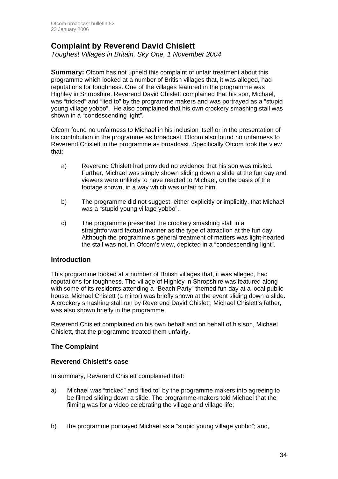### **Complaint by Reverend David Chislett**

*Toughest Villages in Britain, Sky One, 1 November 2004* 

**Summary:** Ofcom has not upheld this complaint of unfair treatment about this programme which looked at a number of British villages that, it was alleged, had reputations for toughness. One of the villages featured in the programme was Highley in Shropshire. Reverend David Chislett complained that his son, Michael, was "tricked" and "lied to" by the programme makers and was portrayed as a "stupid young village yobbo". He also complained that his own crockery smashing stall was shown in a "condescending light".

Ofcom found no unfairness to Michael in his inclusion itself or in the presentation of his contribution in the programme as broadcast. Ofcom also found no unfairness to Reverend Chislett in the programme as broadcast. Specifically Ofcom took the view that:

- a) Reverend Chislett had provided no evidence that his son was misled. Further, Michael was simply shown sliding down a slide at the fun day and viewers were unlikely to have reacted to Michael, on the basis of the footage shown, in a way which was unfair to him.
- b) The programme did not suggest, either explicitly or implicitly, that Michael was a "stupid young village yobbo".
- c) The programme presented the crockery smashing stall in a straightforward factual manner as the type of attraction at the fun day. Although the programme's general treatment of matters was light-hearted the stall was not, in Ofcom's view, depicted in a "condescending light".

### **Introduction**

This programme looked at a number of British villages that, it was alleged, had reputations for toughness. The village of Highley in Shropshire was featured along with some of its residents attending a "Beach Party" themed fun day at a local public house. Michael Chislett (a minor) was briefly shown at the event sliding down a slide. A crockery smashing stall run by Reverend David Chislett, Michael Chislett's father, was also shown briefly in the programme.

Reverend Chislett complained on his own behalf and on behalf of his son, Michael Chislett, that the programme treated them unfairly.

### **The Complaint**

### **Reverend Chislett's case**

In summary, Reverend Chislett complained that:

- a) Michael was "tricked" and "lied to" by the programme makers into agreeing to be filmed sliding down a slide. The programme-makers told Michael that the filming was for a video celebrating the village and village life;
- b) the programme portrayed Michael as a "stupid young village yobbo"; and,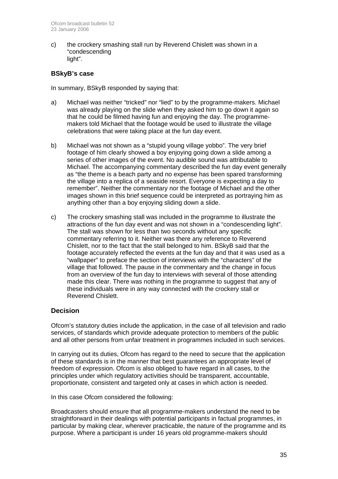c) the crockery smashing stall run by Reverend Chislett was shown in a "condescending light".

### **BSkyB's case**

In summary, BSkyB responded by saying that:

- a) Michael was neither "tricked" nor "lied" to by the programme-makers. Michael was already playing on the slide when they asked him to go down it again so that he could be filmed having fun and enjoying the day. The programmemakers told Michael that the footage would be used to illustrate the village celebrations that were taking place at the fun day event.
- b) Michael was not shown as a "stupid young village yobbo". The very brief footage of him clearly showed a boy enjoying going down a slide among a series of other images of the event. No audible sound was attributable to Michael. The accompanying commentary described the fun day event generally as "the theme is a beach party and no expense has been spared transforming the village into a replica of a seaside resort. Everyone is expecting a day to remember". Neither the commentary nor the footage of Michael and the other images shown in this brief sequence could be interpreted as portraying him as anything other than a boy enjoying sliding down a slide.
- c) The crockery smashing stall was included in the programme to illustrate the attractions of the fun day event and was not shown in a "condescending light". The stall was shown for less than two seconds without any specific commentary referring to it. Neither was there any reference to Reverend Chislett, nor to the fact that the stall belonged to him. BSkyB said that the footage accurately reflected the events at the fun day and that it was used as a "wallpaper" to preface the section of interviews with the "characters" of the village that followed. The pause in the commentary and the change in focus from an overview of the fun day to interviews with several of those attending made this clear. There was nothing in the programme to suggest that any of these individuals were in any way connected with the crockery stall or Reverend Chislett.

### **Decision**

Ofcom's statutory duties include the application, in the case of all television and radio services, of standards which provide adequate protection to members of the public and all other persons from unfair treatment in programmes included in such services.

In carrying out its duties, Ofcom has regard to the need to secure that the application of these standards is in the manner that best guarantees an appropriate level of freedom of expression. Ofcom is also obliged to have regard in all cases, to the principles under which regulatory activities should be transparent, accountable, proportionate, consistent and targeted only at cases in which action is needed.

In this case Ofcom considered the following:

Broadcasters should ensure that all programme-makers understand the need to be straightforward in their dealings with potential participants in factual programmes, in particular by making clear, wherever practicable, the nature of the programme and its purpose. Where a participant is under 16 years old programme-makers should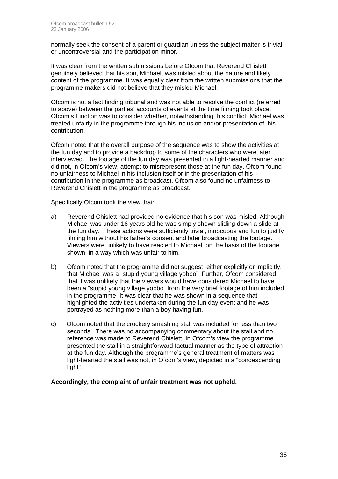normally seek the consent of a parent or guardian unless the subject matter is trivial or uncontroversial and the participation minor.

It was clear from the written submissions before Ofcom that Reverend Chislett genuinely believed that his son, Michael, was misled about the nature and likely content of the programme. It was equally clear from the written submissions that the programme-makers did not believe that they misled Michael.

Ofcom is not a fact finding tribunal and was not able to resolve the conflict (referred to above) between the parties' accounts of events at the time filming took place. Ofcom's function was to consider whether, notwithstanding this conflict, Michael was treated unfairly in the programme through his inclusion and/or presentation of, his contribution.

Ofcom noted that the overall purpose of the sequence was to show the activities at the fun day and to provide a backdrop to some of the characters who were later interviewed. The footage of the fun day was presented in a light-hearted manner and did not, in Ofcom's view, attempt to misrepresent those at the fun day. Ofcom found no unfairness to Michael in his inclusion itself or in the presentation of his contribution in the programme as broadcast. Ofcom also found no unfairness to Reverend Chislett in the programme as broadcast.

Specifically Ofcom took the view that:

- a) Reverend Chislett had provided no evidence that his son was misled. Although Michael was under 16 years old he was simply shown sliding down a slide at the fun day. These actions were sufficiently trivial, innocuous and fun to justify filming him without his father's consent and later broadcasting the footage. Viewers were unlikely to have reacted to Michael, on the basis of the footage shown, in a way which was unfair to him.
- b) Ofcom noted that the programme did not suggest, either explicitly or implicitly, that Michael was a "stupid young village yobbo". Further, Ofcom considered that it was unlikely that the viewers would have considered Michael to have been a "stupid young village yobbo" from the very brief footage of him included in the programme. It was clear that he was shown in a sequence that highlighted the activities undertaken during the fun day event and he was portrayed as nothing more than a boy having fun.
- c) Ofcom noted that the crockery smashing stall was included for less than two seconds. There was no accompanying commentary about the stall and no reference was made to Reverend Chislett. In Ofcom's view the programme presented the stall in a straightforward factual manner as the type of attraction at the fun day. Although the programme's general treatment of matters was light-hearted the stall was not, in Ofcom's view, depicted in a "condescending light".

**Accordingly, the complaint of unfair treatment was not upheld.**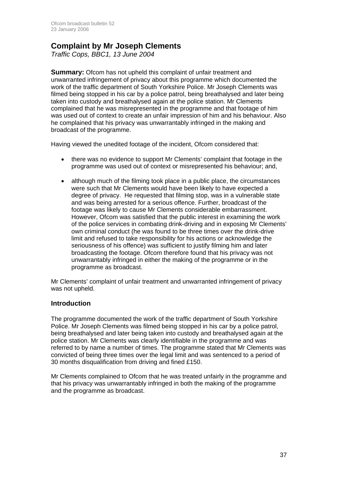### **Complaint by Mr Joseph Clements**

*Traffic Cops, BBC1, 13 June 2004* 

**Summary:** Ofcom has not upheld this complaint of unfair treatment and unwarranted infringement of privacy about this programme which documented the work of the traffic department of South Yorkshire Police. Mr Joseph Clements was filmed being stopped in his car by a police patrol, being breathalysed and later being taken into custody and breathalysed again at the police station. Mr Clements complained that he was misrepresented in the programme and that footage of him was used out of context to create an unfair impression of him and his behaviour. Also he complained that his privacy was unwarrantably infringed in the making and broadcast of the programme.

Having viewed the unedited footage of the incident, Ofcom considered that:

- there was no evidence to support Mr Clements' complaint that footage in the programme was used out of context or misrepresented his behaviour; and,
- although much of the filming took place in a public place, the circumstances were such that Mr Clements would have been likely to have expected a degree of privacy. He requested that filming stop, was in a vulnerable state and was being arrested for a serious offence. Further, broadcast of the footage was likely to cause Mr Clements considerable embarrassment. However, Ofcom was satisfied that the public interest in examining the work of the police services in combating drink-driving and in exposing Mr Clements' own criminal conduct (he was found to be three times over the drink-drive limit and refused to take responsibility for his actions or acknowledge the seriousness of his offence) was sufficient to justify filming him and later broadcasting the footage. Ofcom therefore found that his privacy was not unwarrantably infringed in either the making of the programme or in the programme as broadcast.

Mr Clements' complaint of unfair treatment and unwarranted infringement of privacy was not upheld.

### **Introduction**

The programme documented the work of the traffic department of South Yorkshire Police. Mr Joseph Clements was filmed being stopped in his car by a police patrol, being breathalysed and later being taken into custody and breathalysed again at the police station. Mr Clements was clearly identifiable in the programme and was referred to by name a number of times. The programme stated that Mr Clements was convicted of being three times over the legal limit and was sentenced to a period of 30 months disqualification from driving and fined £150.

Mr Clements complained to Ofcom that he was treated unfairly in the programme and that his privacy was unwarrantably infringed in both the making of the programme and the programme as broadcast.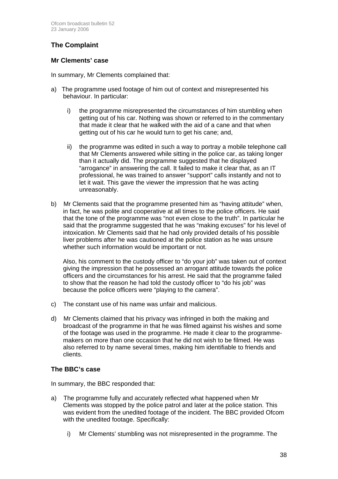### **The Complaint**

### **Mr Clements' case**

In summary, Mr Clements complained that:

- a) The programme used footage of him out of context and misrepresented his behaviour. In particular:
	- i) the programme misrepresented the circumstances of him stumbling when getting out of his car. Nothing was shown or referred to in the commentary that made it clear that he walked with the aid of a cane and that when getting out of his car he would turn to get his cane; and,
	- ii) the programme was edited in such a way to portray a mobile telephone call that Mr Clements answered while sitting in the police car, as taking longer than it actually did. The programme suggested that he displayed "arrogance" in answering the call. It failed to make it clear that, as an IT professional, he was trained to answer "support" calls instantly and not to let it wait. This gave the viewer the impression that he was acting unreasonably.
- b) Mr Clements said that the programme presented him as "having attitude" when, in fact, he was polite and cooperative at all times to the police officers. He said that the tone of the programme was "not even close to the truth". In particular he said that the programme suggested that he was "making excuses" for his level of intoxication. Mr Clements said that he had only provided details of his possible liver problems after he was cautioned at the police station as he was unsure whether such information would be important or not.

 Also, his comment to the custody officer to "do your job" was taken out of context giving the impression that he possessed an arrogant attitude towards the police officers and the circumstances for his arrest. He said that the programme failed to show that the reason he had told the custody officer to "do his job" was because the police officers were "playing to the camera".

- c) The constant use of his name was unfair and malicious.
- d) Mr Clements claimed that his privacy was infringed in both the making and broadcast of the programme in that he was filmed against his wishes and some of the footage was used in the programme. He made it clear to the programmemakers on more than one occasion that he did not wish to be filmed. He was also referred to by name several times, making him identifiable to friends and clients.

### **The BBC's case**

In summary, the BBC responded that:

- a) The programme fully and accurately reflected what happened when Mr Clements was stopped by the police patrol and later at the police station. This was evident from the unedited footage of the incident. The BBC provided Ofcom with the unedited footage. Specifically:
	- i) Mr Clements' stumbling was not misrepresented in the programme. The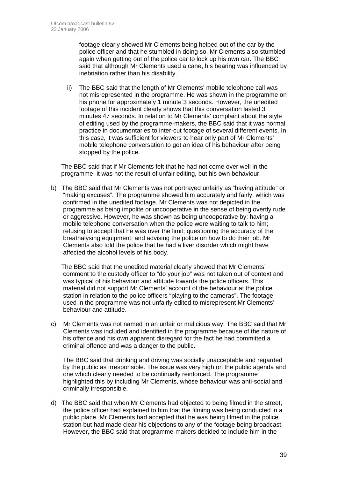footage clearly showed Mr Clements being helped out of the car by the police officer and that he stumbled in doing so. Mr Clements also stumbled again when getting out of the police car to lock up his own car. The BBC said that although Mr Clements used a cane, his bearing was influenced by inebriation rather than his disability.

ii) The BBC said that the length of Mr Clements' mobile telephone call was not misrepresented in the programme. He was shown in the programme on his phone for approximately 1 minute 3 seconds. However, the unedited footage of this incident clearly shows that this conversation lasted 3 minutes 47 seconds. In relation to Mr Clements' complaint about the style of editing used by the programme-makers, the BBC said that it was normal practice in documentaries to inter-cut footage of several different events. In this case, it was sufficient for viewers to hear only part of Mr Clements' mobile telephone conversation to get an idea of his behaviour after being stopped by the police.

The BBC said that if Mr Clements felt that he had not come over well in the programme, it was not the result of unfair editing, but his own behaviour.

b) The BBC said that Mr Clements was not portrayed unfairly as "having attitude" or "making excuses". The programme showed him accurately and fairly, which was confirmed in the unedited footage. Mr Clements was not depicted in the programme as being impolite or uncooperative in the sense of being overtly rude or aggressive. However, he was shown as being uncooperative by: having a mobile telephone conversation when the police were waiting to talk to him; refusing to accept that he was over the limit; questioning the accuracy of the breathalysing equipment; and advising the police on how to do their job. Mr Clements also told the police that he had a liver disorder which might have affected the alcohol levels of his body.

 The BBC said that the unedited material clearly showed that Mr Clements' comment to the custody officer to "do your job" was not taken out of context and was typical of his behaviour and attitude towards the police officers. This material did not support Mr Clements' account of the behaviour at the police station in relation to the police officers "playing to the cameras". The footage used in the programme was not unfairly edited to misrepresent Mr Clements' behaviour and attitude.

c) Mr Clements was not named in an unfair or malicious way. The BBC said that Mr Clements was included and identified in the programme because of the nature of his offence and his own apparent disregard for the fact he had committed a criminal offence and was a danger to the public.

 The BBC said that drinking and driving was socially unacceptable and regarded by the public as irresponsible. The issue was very high on the public agenda and one which clearly needed to be continually reinforced. The programme highlighted this by including Mr Clements, whose behaviour was anti-social and criminally irresponsible.

d) The BBC said that when Mr Clements had objected to being filmed in the street, the police officer had explained to him that the filming was being conducted in a public place. Mr Clements had accepted that he was being filmed in the police station but had made clear his objections to any of the footage being broadcast. However, the BBC said that programme-makers decided to include him in the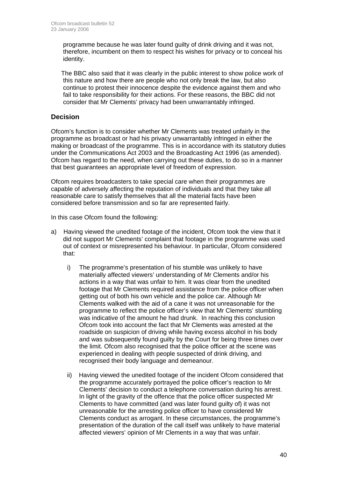programme because he was later found guilty of drink driving and it was not, therefore, incumbent on them to respect his wishes for privacy or to conceal his identity.

 The BBC also said that it was clearly in the public interest to show police work of this nature and how there are people who not only break the law, but also continue to protest their innocence despite the evidence against them and who fail to take responsibility for their actions. For these reasons, the BBC did not consider that Mr Clements' privacy had been unwarrantably infringed.

### **Decision**

Ofcom's function is to consider whether Mr Clements was treated unfairly in the programme as broadcast or had his privacy unwarrantably infringed in either the making or broadcast of the programme. This is in accordance with its statutory duties under the Communications Act 2003 and the Broadcasting Act 1996 (as amended). Ofcom has regard to the need, when carrying out these duties, to do so in a manner that best guarantees an appropriate level of freedom of expression.

Ofcom requires broadcasters to take special care when their programmes are capable of adversely affecting the reputation of individuals and that they take all reasonable care to satisfy themselves that all the material facts have been considered before transmission and so far are represented fairly.

In this case Ofcom found the following:

- a) Having viewed the unedited footage of the incident, Ofcom took the view that it did not support Mr Clements' complaint that footage in the programme was used out of context or misrepresented his behaviour. In particular, Ofcom considered that:
	- i) The programme's presentation of his stumble was unlikely to have materially affected viewers' understanding of Mr Clements and/or his actions in a way that was unfair to him. It was clear from the unedited footage that Mr Clements required assistance from the police officer when getting out of both his own vehicle and the police car. Although Mr Clements walked with the aid of a cane it was not unreasonable for the programme to reflect the police officer's view that Mr Clements' stumbling was indicative of the amount he had drunk. In reaching this conclusion Ofcom took into account the fact that Mr Clements was arrested at the roadside on suspicion of driving while having excess alcohol in his body and was subsequently found guilty by the Court for being three times over the limit. Ofcom also recognised that the police officer at the scene was experienced in dealing with people suspected of drink driving, and recognised their body language and demeanour.
	- ii) Having viewed the unedited footage of the incident Ofcom considered that the programme accurately portrayed the police officer's reaction to Mr Clements' decision to conduct a telephone conversation during his arrest. In light of the gravity of the offence that the police officer suspected Mr Clements to have committed (and was later found guilty of) it was not unreasonable for the arresting police officer to have considered Mr Clements conduct as arrogant. In these circumstances, the programme's presentation of the duration of the call itself was unlikely to have material affected viewers' opinion of Mr Clements in a way that was unfair.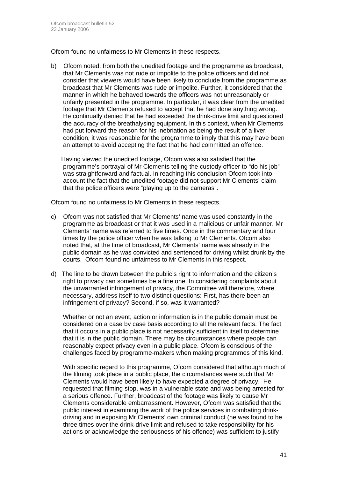Ofcom found no unfairness to Mr Clements in these respects.

b) Ofcom noted, from both the unedited footage and the programme as broadcast, that Mr Clements was not rude or impolite to the police officers and did not consider that viewers would have been likely to conclude from the programme as broadcast that Mr Clements was rude or impolite. Further, it considered that the manner in which he behaved towards the officers was not unreasonably or unfairly presented in the programme. In particular, it was clear from the unedited footage that Mr Clements refused to accept that he had done anything wrong. He continually denied that he had exceeded the drink-drive limit and questioned the accuracy of the breathalysing equipment. In this context, when Mr Clements had put forward the reason for his inebriation as being the result of a liver condition, it was reasonable for the programme to imply that this may have been an attempt to avoid accepting the fact that he had committed an offence.

 Having viewed the unedited footage, Ofcom was also satisfied that the programme's portrayal of Mr Clements telling the custody officer to "do his job" was straightforward and factual. In reaching this conclusion Ofcom took into account the fact that the unedited footage did not support Mr Clements' claim that the police officers were "playing up to the cameras".

Ofcom found no unfairness to Mr Clements in these respects.

- c) Ofcom was not satisfied that Mr Clements' name was used constantly in the programme as broadcast or that it was used in a malicious or unfair manner. Mr Clements' name was referred to five times. Once in the commentary and four times by the police officer when he was talking to Mr Clements. Ofcom also noted that, at the time of broadcast, Mr Clements' name was already in the public domain as he was convicted and sentenced for driving whilst drunk by the courts. Ofcom found no unfairness to Mr Clements in this respect.
- d) The line to be drawn between the public's right to information and the citizen's right to privacy can sometimes be a fine one. In considering complaints about the unwarranted infringement of privacy, the Committee will therefore, where necessary, address itself to two distinct questions: First, has there been an infringement of privacy? Second, if so, was it warranted?

 Whether or not an event, action or information is in the public domain must be considered on a case by case basis according to all the relevant facts. The fact that it occurs in a public place is not necessarily sufficient in itself to determine that it is in the public domain. There may be circumstances where people can reasonably expect privacy even in a public place. Ofcom is conscious of the challenges faced by programme-makers when making programmes of this kind.

 With specific regard to this programme, Ofcom considered that although much of the filming took place in a public place, the circumstances were such that Mr Clements would have been likely to have expected a degree of privacy. He requested that filming stop, was in a vulnerable state and was being arrested for a serious offence. Further, broadcast of the footage was likely to cause Mr Clements considerable embarrassment. However, Ofcom was satisfied that the public interest in examining the work of the police services in combating drinkdriving and in exposing Mr Clements' own criminal conduct (he was found to be three times over the drink-drive limit and refused to take responsibility for his actions or acknowledge the seriousness of his offence) was sufficient to justify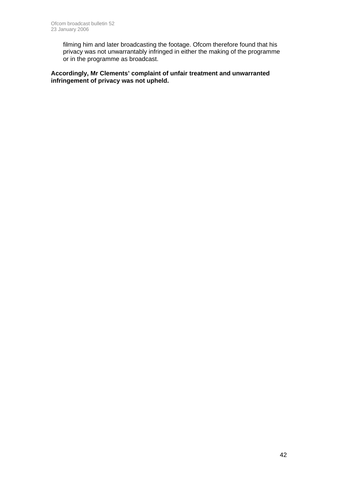filming him and later broadcasting the footage. Ofcom therefore found that his privacy was not unwarrantably infringed in either the making of the programme or in the programme as broadcast.

**Accordingly, Mr Clements' complaint of unfair treatment and unwarranted infringement of privacy was not upheld.**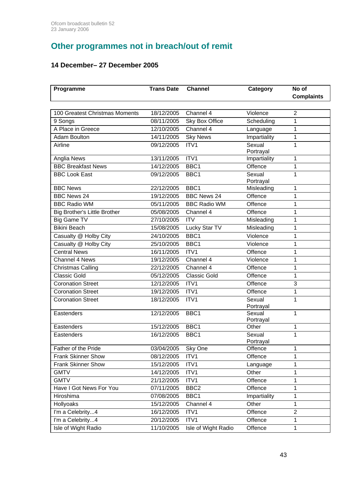# **Other programmes not in breach/out of remit**

### **14 December– 27 December 2005**

| Programme                           | <b>Trans Date</b> | <b>Channel</b>      | Category            | No of<br><b>Complaints</b> |
|-------------------------------------|-------------------|---------------------|---------------------|----------------------------|
|                                     |                   |                     |                     |                            |
| 100 Greatest Christmas Moments      | 18/12/2005        | Channel 4           | Violence            | $\overline{2}$             |
| 9 Songs                             | 08/11/2005        | Sky Box Office      | Scheduling          | 1                          |
| A Place in Greece                   | 12/10/2005        | Channel 4           | Language            | 1                          |
| <b>Adam Boulton</b>                 | 14/11/2005        | <b>Sky News</b>     | Impartiality        | $\mathbf 1$                |
| Airline                             | 09/12/2005        | ITV1                | Sexual              | 1                          |
|                                     |                   |                     | Portrayal           |                            |
| Anglia News                         | 13/11/2005        | ITV1                | Impartiality        | 1                          |
| <b>BBC Breakfast News</b>           | 14/12/2005        | BBC1                | Offence             | $\mathbf 1$                |
| <b>BBC Look East</b>                | 09/12/2005        | BBC1                | Sexual              | $\mathbf{1}$               |
|                                     |                   |                     | Portrayal           |                            |
| <b>BBC News</b>                     | 22/12/2005        | BBC1                | Misleading          | $\mathbf{1}$               |
| <b>BBC News 24</b>                  | 19/12/2005        | <b>BBC News 24</b>  | Offence             | 1                          |
| <b>BBC Radio WM</b>                 | 05/11/2005        | <b>BBC Radio WM</b> | Offence             | 1                          |
| <b>Big Brother's Little Brother</b> | 05/08/2005        | Channel 4           | Offence             | 1                          |
| <b>Big Game TV</b>                  | 27/10/2005        | <b>ITV</b>          | Misleading          | 1                          |
| <b>Bikini Beach</b>                 | 15/08/2005        | Lucky Star TV       | Misleading          | 1                          |
| Casualty @ Holby City               | 24/10/2005        | BBC1                | Violence            | 1                          |
| Casualty @ Holby City               | 25/10/2005        | BBC1                | Violence            | 1                          |
| <b>Central News</b>                 | 16/11/2005        | ITV1                | Offence             | 1                          |
| Channel 4 News                      | 19/12/2005        | Channel 4           | Violence            | 1                          |
| <b>Christmas Calling</b>            | 22/12/2005        | Channel 4           | Offence             | 1                          |
| <b>Classic Gold</b>                 | 05/12/2005        | <b>Classic Gold</b> | Offence             | 1                          |
| <b>Coronation Street</b>            | 12/12/2005        | ITV1                | Offence             | 3                          |
| <b>Coronation Street</b>            | 19/12/2005        | ITV1                | Offence             | 1                          |
| <b>Coronation Street</b>            | 18/12/2005        | ITV1                | Sexual              | 1                          |
|                                     |                   |                     | Portrayal           |                            |
| Eastenders                          | 12/12/2005        | BBC1                | Sexual<br>Portrayal | 1                          |
| Eastenders                          | 15/12/2005        | BBC1                | Other               | 1                          |
| Eastenders                          | 16/12/2005        | BBC1                | Sexual              | 1                          |
|                                     |                   |                     | Portrayal           |                            |
| Father of the Pride                 | 03/04/2005        | Sky One             | Offence             | 1                          |
| <b>Frank Skinner Show</b>           | 08/12/2005        | ITV1                | Offence             | 1                          |
| <b>Frank Skinner Show</b>           | 15/12/2005        | ITV1                | Language            | 1                          |
| <b>GMTV</b>                         | 14/12/2005        | ITV1                | Other               | 1                          |
| <b>GMTV</b>                         | 21/12/2005        | ITV1                | Offence             | $\mathbf 1$                |
| Have I Got News For You             | 07/11/2005        | BBC <sub>2</sub>    | Offence             | 1                          |
| Hiroshima                           | 07/08/2005        | BBC1                | Impartiality        | $\mathbf 1$                |
| Hollyoaks                           | 15/12/2005        | Channel 4           | Other               | $\mathbf{1}$               |
| I'm a Celebrity4                    | 16/12/2005        | ITV1                | Offence             | $\overline{2}$             |
| I'm a Celebrity4                    | 20/12/2005        | ITV1                | Offence             | 1                          |
| Isle of Wight Radio                 | 11/10/2005        | Isle of Wight Radio | Offence             | 1                          |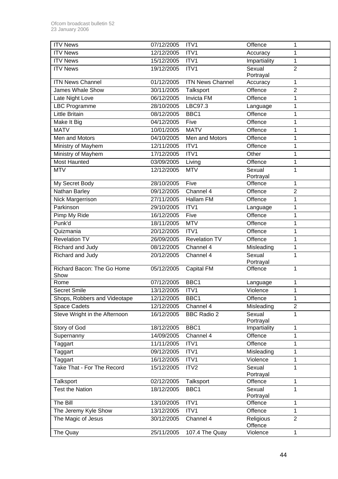| <b>ITV News</b>               | 07/12/2005 | ITV1                    | Offence              | 1              |
|-------------------------------|------------|-------------------------|----------------------|----------------|
| <b>ITV News</b>               | 12/12/2005 | ITV1                    | Accuracy             | 1              |
| <b>ITV News</b>               | 15/12/2005 | ITV1                    | Impartiality         | 1              |
| <b>ITV News</b>               | 19/12/2005 | ITV1                    | Sexual               | $\overline{2}$ |
|                               |            |                         | Portrayal            |                |
| <b>ITN News Channel</b>       | 01/12/2005 | <b>ITN News Channel</b> | Accuracy             | $\mathbf{1}$   |
| <b>James Whale Show</b>       | 30/11/2005 | Talksport               | Offence              | $\overline{2}$ |
| Late Night Love               | 06/12/2005 | <b>Invicta FM</b>       | Offence              | 1              |
| <b>LBC Programme</b>          | 28/10/2005 | LBC97.3                 | Language             | 1              |
| <b>Little Britain</b>         | 08/12/2005 | BBC <sub>1</sub>        | Offence              | 1              |
| Make It Big                   | 04/12/2005 | Five                    | Offence              | 1              |
| <b>MATV</b>                   | 10/01/2005 | <b>MATV</b>             | Offence              | 1              |
| Men and Motors                | 04/10/2005 | Men and Motors          | Offence              | 1              |
| Ministry of Mayhem            | 12/11/2005 | ITV1                    | Offence              | 1              |
| Ministry of Mayhem            | 17/12/2005 | ITV1                    | Other                | 1              |
| <b>Most Haunted</b>           | 03/09/2005 | Living                  | Offence              | $\mathbf 1$    |
| <b>MTV</b>                    | 12/12/2005 | <b>MTV</b>              | Sexual               | 1              |
| My Secret Body                | 28/10/2005 | Five                    | Portrayal<br>Offence | 1              |
| Nathan Barley                 | 09/12/2005 | Channel 4               | Offence              | $\overline{2}$ |
| Nick Margerrison              | 27/11/2005 | <b>Hallam FM</b>        | Offence              | 1              |
| Parkinson                     | 29/10/2005 | $\overline{IV1}$        |                      | 1              |
| Pimp My Ride                  | 16/12/2005 | Five                    | Language<br>Offence  | 1              |
| Punk'd                        | 18/11/2005 | <b>MTV</b>              | Offence              | 1              |
| Quizmania                     | 20/12/2005 | ITV1                    | Offence              | 1              |
| <b>Revelation TV</b>          | 26/09/2005 | Revelation TV           | Offence              | $\mathbf 1$    |
| Richard and Judy              | 08/12/2005 | Channel 4               |                      |                |
| Richard and Judy              | 20/12/2005 | Channel 4               | Misleading<br>Sexual | 1<br>1         |
|                               |            |                         | Portrayal            |                |
| Richard Bacon: The Go Home    | 05/12/2005 | Capital FM              | Offence              | 1              |
| Show                          |            |                         |                      |                |
| Rome                          | 07/12/2005 | BBC1                    | Language             | 1              |
| <b>Secret Smile</b>           | 13/12/2005 | ITV1                    | Violence             | 1              |
| Shops, Robbers and Videotape  | 12/12/2005 | BBC1                    | Offence              | 1              |
| Space Cadets                  | 12/12/2005 | Channel 4               | Misleading           | $\overline{2}$ |
| Steve Wright in the Afternoon | 16/12/2005 | <b>BBC Radio 2</b>      | Sexual<br>Portrayal  | 1              |
| Story of God                  | 18/12/2005 | BBC1                    | Impartiality         | 1              |
| Supernanny                    | 14/09/2005 | Channel 4               | Offence              | 1              |
| Taggart                       | 11/11/2005 | ITV1                    | Offence              | 1              |
| Taggart                       | 09/12/2005 | ITV1                    | Misleading           | 1              |
| Taggart                       | 16/12/2005 | ITV1                    | Violence             | $\mathbf{1}$   |
| Take That - For The Record    | 15/12/2005 | ITV2                    | Sexual               | 1              |
|                               |            |                         | Portrayal            |                |
| Talksport                     | 02/12/2005 | Talksport               | Offence              | 1              |
| <b>Test the Nation</b>        | 18/12/2005 | BBC1                    | Sexual<br>Portrayal  | 1              |
| The Bill                      | 13/10/2005 | ITV1                    | Offence              | 1              |
| The Jeremy Kyle Show          | 13/12/2005 | ITV1                    | Offence              | $\mathbf{1}$   |
| The Magic of Jesus            | 30/12/2005 | Channel 4               | Religious<br>Offence | $\overline{2}$ |
| The Quay                      | 25/11/2005 | 107.4 The Quay          | Violence             | $\mathbf{1}$   |
|                               |            |                         |                      |                |